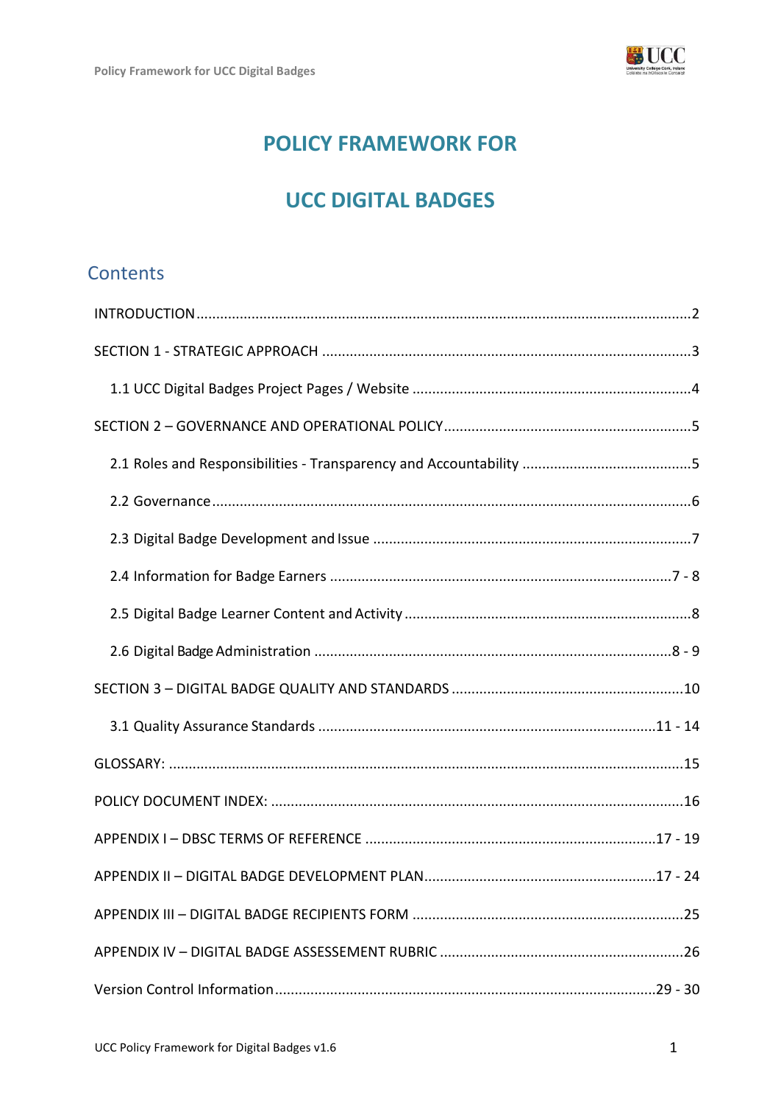

# **POLICY FRAMEWORK FOR**

# **UCC DIGITAL BADGES**

# **Contents**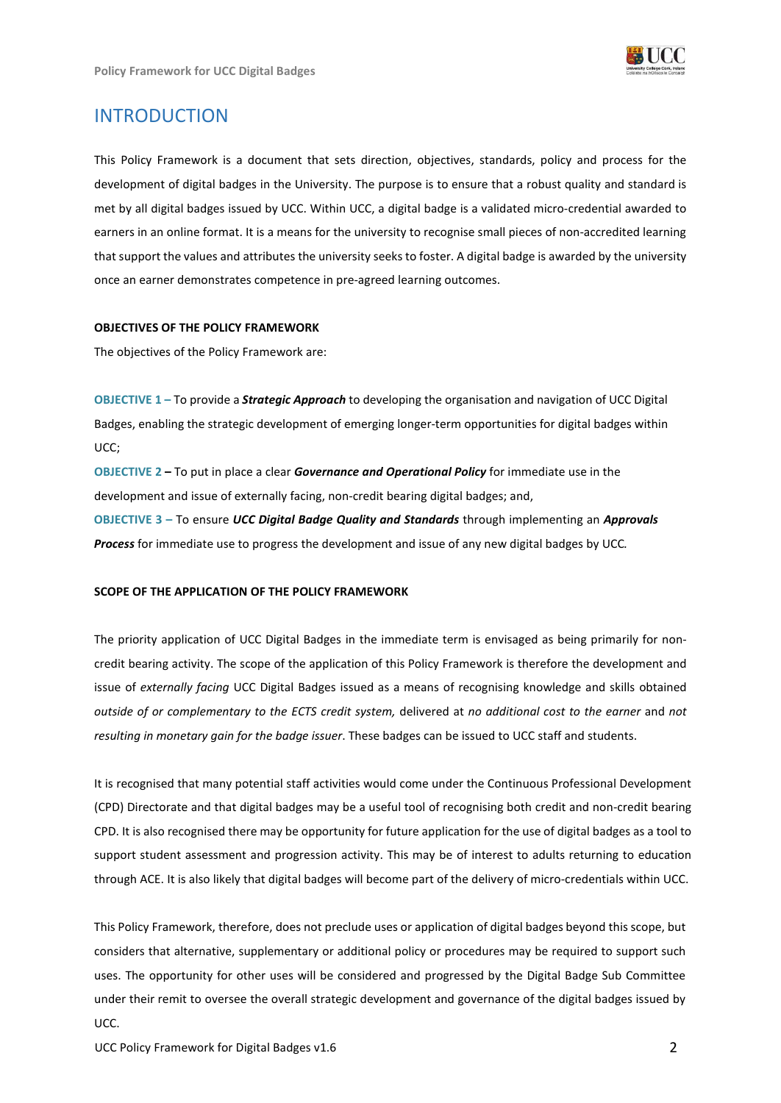

# <span id="page-1-0"></span>INTRODUCTION

This Policy Framework is a document that sets direction, objectives, standards, policy and process for the development of digital badges in the University. The purpose is to ensure that a robust quality and standard is met by all digital badges issued by UCC. Within UCC, a digital badge is a validated micro-credential awarded to earners in an online format. It is a means for the university to recognise small pieces of non-accredited learning that support the values and attributes the university seeks to foster. A digital badge is awarded by the university once an earner demonstrates competence in pre-agreed learning outcomes.

#### **OBJECTIVES OF THE POLICY FRAMEWORK**

The objectives of the Policy Framework are:

**OBJECTIVE 1 –** To provide a *Strategic Approach* to developing the organisation and navigation of UCC Digital Badges, enabling the strategic development of emerging longer-term opportunities for digital badges within UCC;

**OBJECTIVE 2 –** To put in place a clear *Governance and Operational Policy* for immediate use in the development and issue of externally facing, non-credit bearing digital badges; and,

**OBJECTIVE 3 –** To ensure *UCC Digital Badge Quality and Standards* through implementing an *Approvals Process* for immediate use to progress the development and issue of any new digital badges by UCC*.*

#### **SCOPE OF THE APPLICATION OF THE POLICY FRAMEWORK**

The priority application of UCC Digital Badges in the immediate term is envisaged as being primarily for noncredit bearing activity. The scope of the application of this Policy Framework is therefore the development and issue of *externally facing* UCC Digital Badges issued as a means of recognising knowledge and skills obtained *outside of or complementary to the ECTS credit system,* delivered at *no additional cost to the earner* and *not resulting in monetary gain for the badge issuer*. These badges can be issued to UCC staff and students.

It is recognised that many potential staff activities would come under the Continuous Professional Development (CPD) Directorate and that digital badges may be a useful tool of recognising both credit and non-credit bearing CPD. It is also recognised there may be opportunity for future application for the use of digital badges as a tool to support student assessment and progression activity. This may be of interest to adults returning to education through ACE. It is also likely that digital badges will become part of the delivery of micro-credentials within UCC.

This Policy Framework, therefore, does not preclude uses or application of digital badges beyond this scope, but considers that alternative, supplementary or additional policy or procedures may be required to support such uses. The opportunity for other uses will be considered and progressed by the Digital Badge Sub Committee under their remit to oversee the overall strategic development and governance of the digital badges issued by UCC.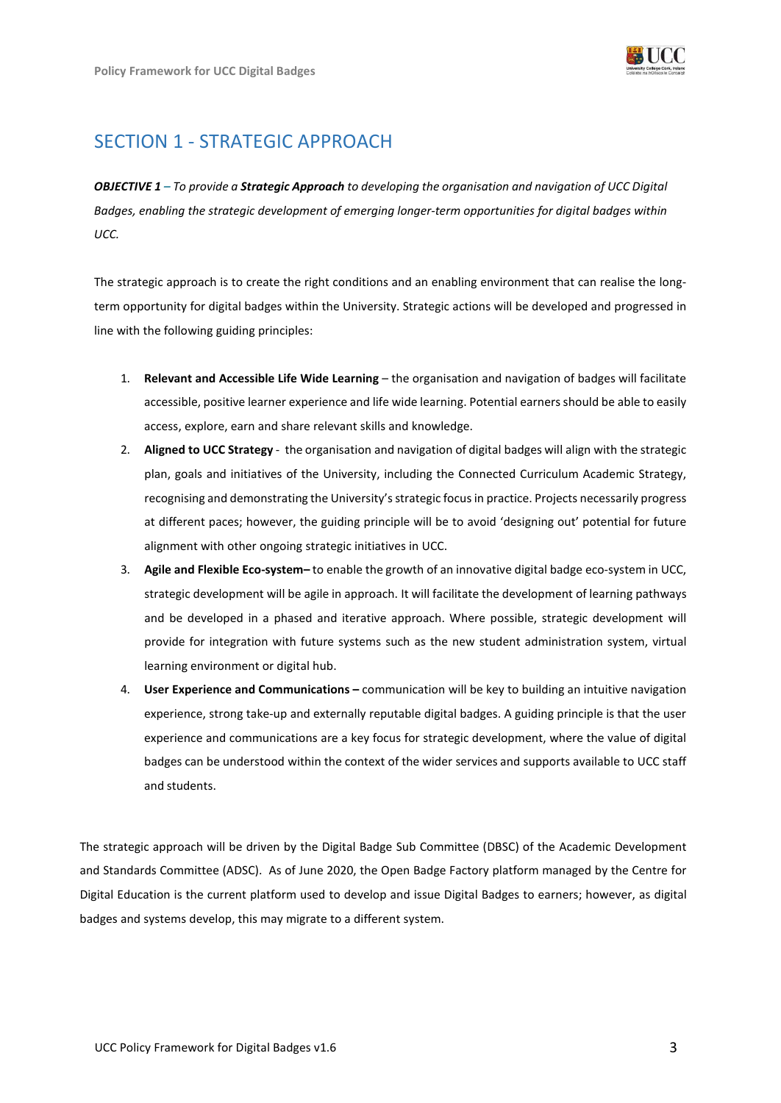

# <span id="page-2-0"></span>SECTION 1 - STRATEGIC APPROACH

*OBJECTIVE 1 – To provide a Strategic Approach to developing the organisation and navigation of UCC Digital Badges, enabling the strategic development of emerging longer-term opportunities for digital badges within UCC.*

The strategic approach is to create the right conditions and an enabling environment that can realise the longterm opportunity for digital badges within the University. Strategic actions will be developed and progressed in line with the following guiding principles:

- 1. **Relevant and Accessible Life Wide Learning**  the organisation and navigation of badges will facilitate accessible, positive learner experience and life wide learning. Potential earners should be able to easily access, explore, earn and share relevant skills and knowledge.
- 2. **Aligned to UCC Strategy** the organisation and navigation of digital badges will align with the strategic plan, goals and initiatives of the University, including the Connected Curriculum Academic Strategy, recognising and demonstrating the University's strategic focus in practice. Projects necessarily progress at different paces; however, the guiding principle will be to avoid 'designing out' potential for future alignment with other ongoing strategic initiatives in UCC.
- 3. **Agile and Flexible Eco-system–** to enable the growth of an innovative digital badge eco-system in UCC, strategic development will be agile in approach. It will facilitate the development of learning pathways and be developed in a phased and iterative approach. Where possible, strategic development will provide for integration with future systems such as the new student administration system, virtual learning environment or digital hub.
- 4. **User Experience and Communications –** communication will be key to building an intuitive navigation experience, strong take-up and externally reputable digital badges. A guiding principle is that the user experience and communications are a key focus for strategic development, where the value of digital badges can be understood within the context of the wider services and supports available to UCC staff and students.

The strategic approach will be driven by the Digital Badge Sub Committee (DBSC) of the Academic Development and Standards Committee (ADSC). As of June 2020, the Open Badge Factory platform managed by the Centre for Digital Education is the current platform used to develop and issue Digital Badges to earners; however, as digital badges and systems develop, this may migrate to a different system.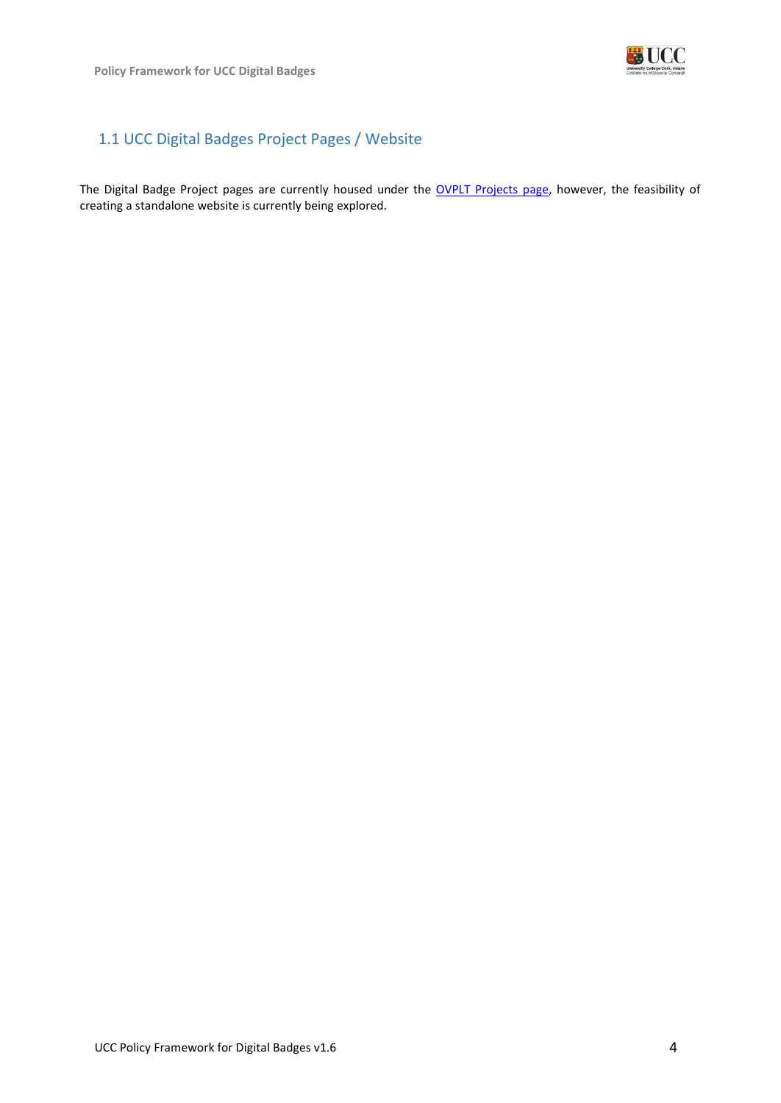

## <span id="page-3-0"></span>1.1 UCC Digital Badges Project Pages / Website

The Digital Badge Project pages are currently housed under the [OVPLT Projects](https://www.ucc.ie/en/teachlearn/projects/digitalbadges/) page, however, the feasibility of creating a standalone website is currently being explored.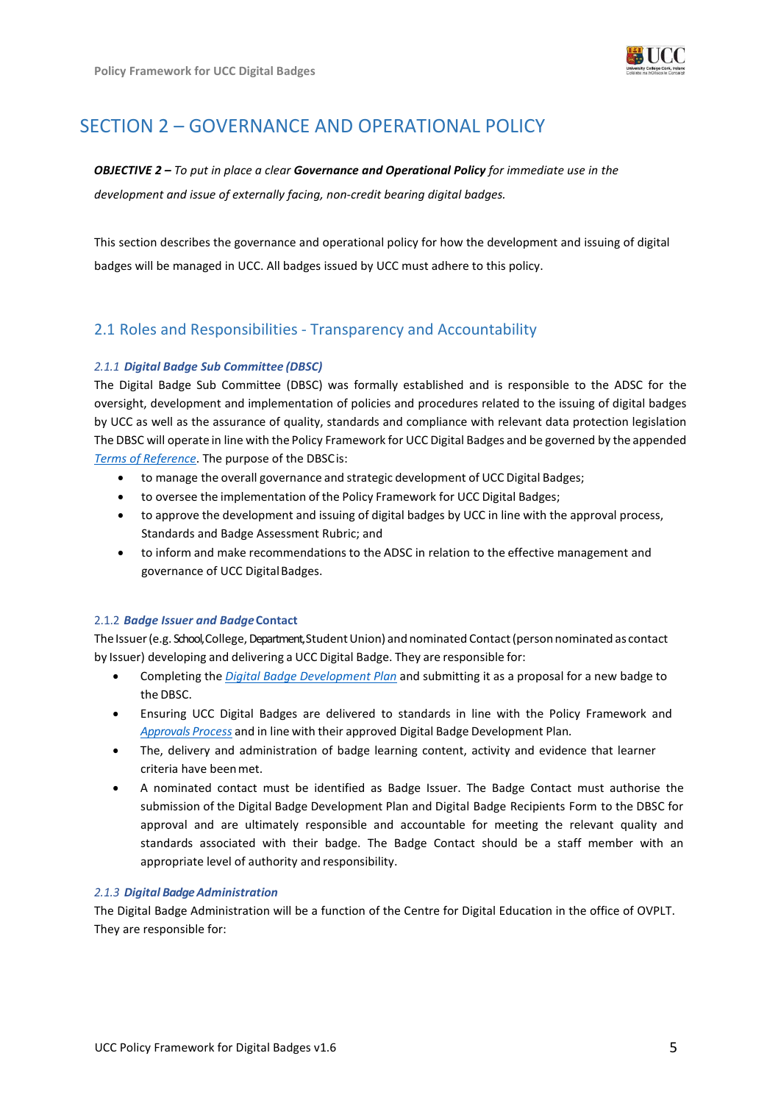

# <span id="page-4-0"></span>SECTION 2 – GOVERNANCE AND OPERATIONAL POLICY

## *OBJECTIVE 2 – To put in place a clear Governance and Operational Policy for immediate use in the development and issue of externally facing, non-credit bearing digital badges.*

This section describes the governance and operational policy for how the development and issuing of digital badges will be managed in UCC. All badges issued by UCC must adhere to this policy.

## <span id="page-4-1"></span>2.1 Roles and Responsibilities - Transparency and Accountability

### *2.1.1 Digital Badge Sub Committee (DBSC)*

The Digital Badge Sub Committee (DBSC) was formally established and is responsible to the ADSC for the oversight, development and implementation of policies and procedures related to the issuing of digital badges by UCC as well as the assurance of quality, standards and compliance with relevant data protection legislation The DBSC will operate in line with the Policy Framework for UCC Digital Badges and be governed by the appended *Terms of Reference*. The purpose of the DBSCis:

- to manage the overall governance and strategic development of UCC Digital Badges;
- to oversee the implementation of the Policy Framework for UCC Digital Badges;
- to approve the development and issuing of digital badges by UCC in line with the approval process, Standards and Badge Assessment Rubric; and
- to inform and make recommendations to the ADSC in relation to the effective management and governance of UCC Digital Badges.

#### 2.1.2 *Badge Issuer and Badge***Contact**

The Issuer (e.g. School, College, Department, Student Union) and nominated Contact (person nominated as contact by Issuer) developing and delivering a UCC Digital Badge. They are responsible for:

- Completing the *Digital Badge Development Plan* and submitting it as a proposal for a new badge to the DBSC.
- Ensuring UCC Digital Badges are delivered to standards in line with the Policy Framework and *Approvals Process* and in line with their approved Digital Badge Development Plan*.*
- The, delivery and administration of badge learning content, activity and evidence that learner criteria have beenmet.
- A nominated contact must be identified as Badge Issuer. The Badge Contact must authorise the submission of the Digital Badge Development Plan and Digital Badge Recipients Form to the DBSC for approval and are ultimately responsible and accountable for meeting the relevant quality and standards associated with their badge. The Badge Contact should be a staff member with an appropriate level of authority and responsibility.

#### *2.1.3 Digital Badge Administration*

The Digital Badge Administration will be a function of the Centre for Digital Education in the office of OVPLT. They are responsible for: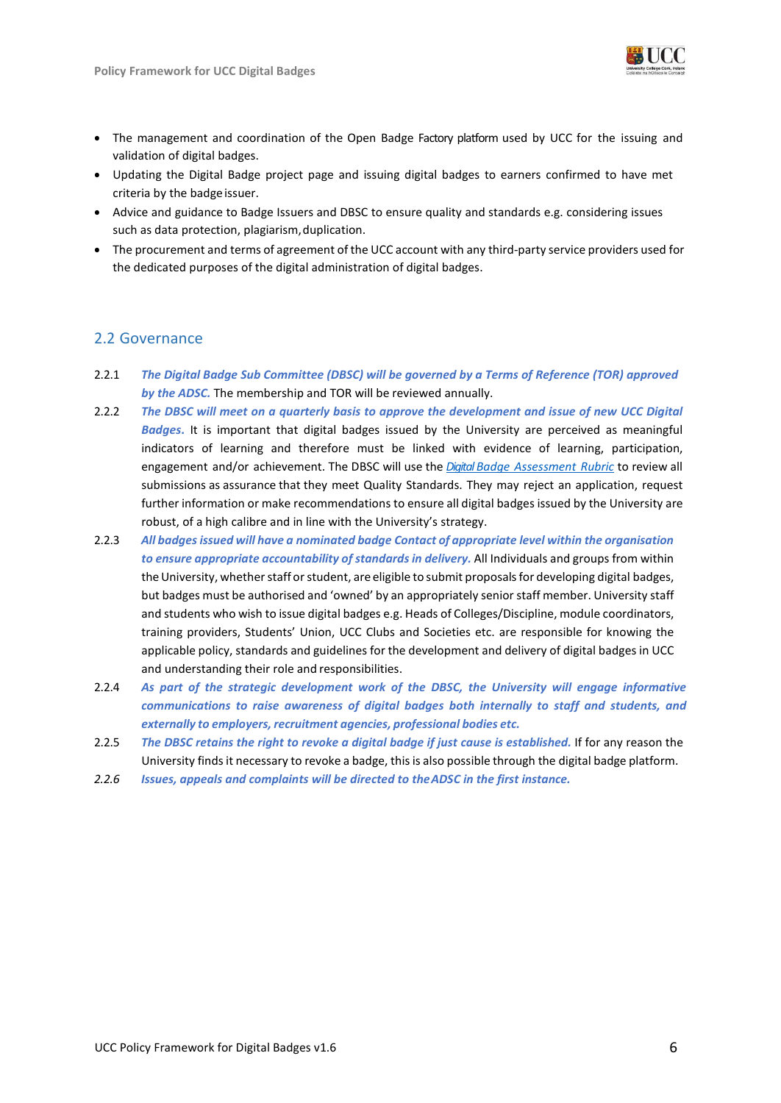

- The management and coordination of the Open Badge Factory platform used by UCC for the issuing and validation of digital badges.
- Updating the Digital Badge project page and issuing digital badges to earners confirmed to have met criteria by the badge issuer.
- Advice and guidance to Badge Issuers and DBSC to ensure quality and standards e.g. considering issues such as data protection, plagiarism, duplication.
- The procurement and terms of agreement of the UCC account with any third-party service providers used for the dedicated purposes of the digital administration of digital badges.

### <span id="page-5-0"></span>2.2 Governance

- 2.2.1 *The Digital Badge Sub Committee (DBSC) will be governed by a Terms of Reference (TOR) approved by the ADSC.* The membership and TOR will be reviewed annually.
- 2.2.2 *The DBSC will meet on a quarterly basis to approve the development and issue of new UCC Digital Badges***.** It is important that digital badges issued by the University are perceived as meaningful indicators of learning and therefore must be linked with evidence of learning, participation, engagement and/or achievement. The DBSC will use the *Digital Badge Assessment Rubric* to review all submissions as assurance that they meet Quality Standards. They may reject an application, request further information or make recommendations to ensure all digital badges issued by the University are robust, of a high calibre and in line with the University's strategy.
- 2.2.3 *All badgesissued will have a nominated badge Contact of appropriate level within the organisation to ensure appropriate accountability of standards in delivery.* All Individuals and groups from within the University, whether staff or student, are eligible to submit proposals for developing digital badges, but badges must be authorised and 'owned' by an appropriately senior staff member. University staff and students who wish to issue digital badges e.g. Heads of Colleges/Discipline, module coordinators, training providers, Students' Union, UCC Clubs and Societies etc. are responsible for knowing the applicable policy, standards and guidelines for the development and delivery of digital badges in UCC and understanding their role and responsibilities.
- 2.2.4 *As part of the strategic development work of the DBSC, the University will engage informative communications to raise awareness of digital badges both internally to staff and students, and externally to employers, recruitment agencies, professional bodies etc.*
- 2.2.5 The DBSC retains the right to revoke a digital badge if just cause is established. If for any reason the University finds it necessary to revoke a badge, this is also possible through the digital badge platform.
- *2.2.6 Issues, appeals and complaints will be directed to theADSC in the first instance.*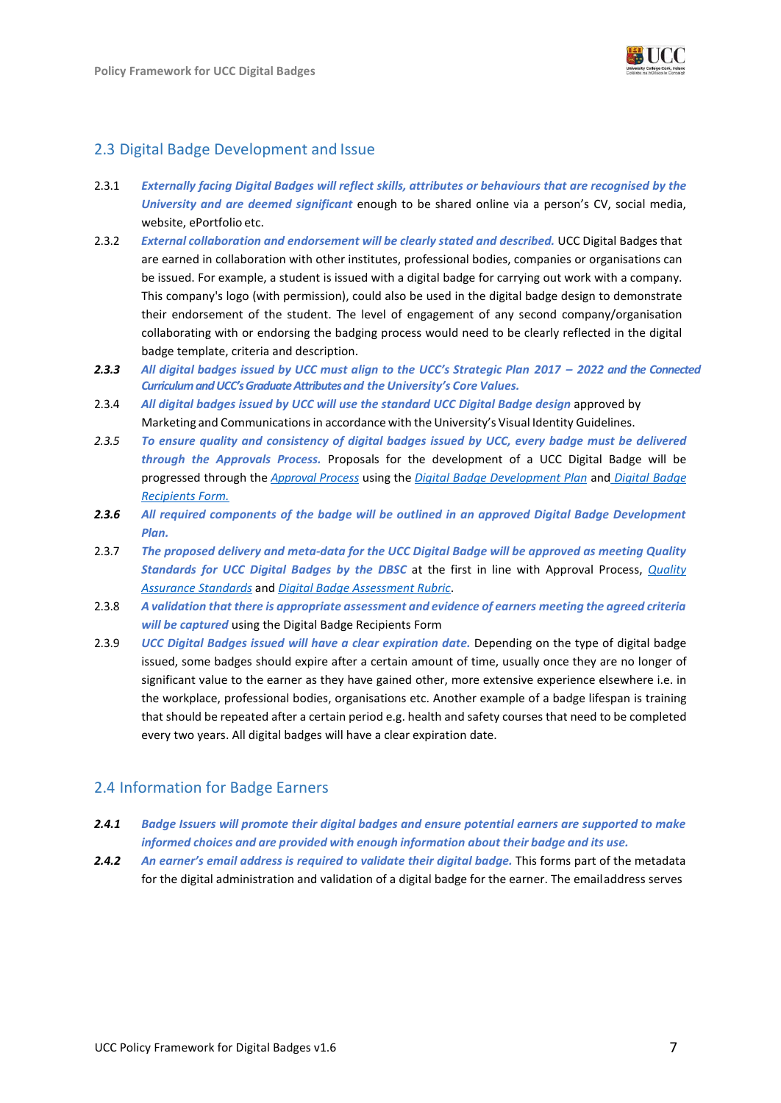

## <span id="page-6-0"></span>2.3 Digital Badge Development and Issue

- 2.3.1 *Externally facing Digital Badges will reflect skills, attributes or behaviours that are recognised by the University and are deemed significant* enough to be shared online via a person's CV, social media, website, ePortfolio etc.
- 2.3.2 *External collaboration and endorsement will be clearly stated and described.* UCC Digital Badges that are earned in collaboration with other institutes, professional bodies, companies or organisations can be issued. For example, a student is issued with a digital badge for carrying out work with a company. This company's logo (with permission), could also be used in the digital badge design to demonstrate their endorsement of the student. The level of engagement of any second company/organisation collaborating with or endorsing the badging process would need to be clearly reflected in the digital badge template, criteria and description.
- 2.3.3 All digital badges issued by UCC must align to the UCC's Strategic Plan 2017 2022 and the Connected *Curriculum and UCC's Graduate Attributes and the University's Core Values.*
- 2.3.4 *All digital badges issued by UCC will use the standard UCC Digital Badge design* approved by Marketing and Communications in accordance with the University's Visual Identity Guidelines.
- *2.3.5 To ensure quality and consistency of digital badges issued by UCC, every badge must be delivered through the Approvals Process.* Proposals for the development of a UCC Digital Badge will be progressed through the *Approval Process* using the *Digital Badge Development Plan* and *Digital Badge Recipients Form.*
- *2.3.6 All required components of the badge will be outlined in an approved Digital Badge Development Plan.*
- 2.3.7 *The proposed delivery and meta-data for the UCC Digital Badge will be approved as meeting Quality Standards for UCC Digital Badges by the DBSC* at the first in line with Approval Process, *Quality Assurance Standards* and *Digital Badge Assessment Rubric*.
- 2.3.8 *A validation that there is appropriate assessment and evidence of earners meeting the agreed criteria will be captured* using the Digital Badge Recipients Form
- 2.3.9 *UCC Digital Badges issued will have a clear expiration date.* Depending on the type of digital badge issued, some badges should expire after a certain amount of time, usually once they are no longer of significant value to the earner as they have gained other, more extensive experience elsewhere i.e. in the workplace, professional bodies, organisations etc. Another example of a badge lifespan is training that should be repeated after a certain period e.g. health and safety courses that need to be completed every two years. All digital badges will have a clear expiration date.

### <span id="page-6-1"></span>2.4 Information for Badge Earners

- *2.4.1 Badge Issuers will promote their digital badges and ensure potential earners are supported to make informed choices and are provided with enough information about their badge and its use.*
- 2.4.2 An earner's email address is required to validate their digital badge. This forms part of the metadata for the digital administration and validation of a digital badge for the earner. The emailaddress serves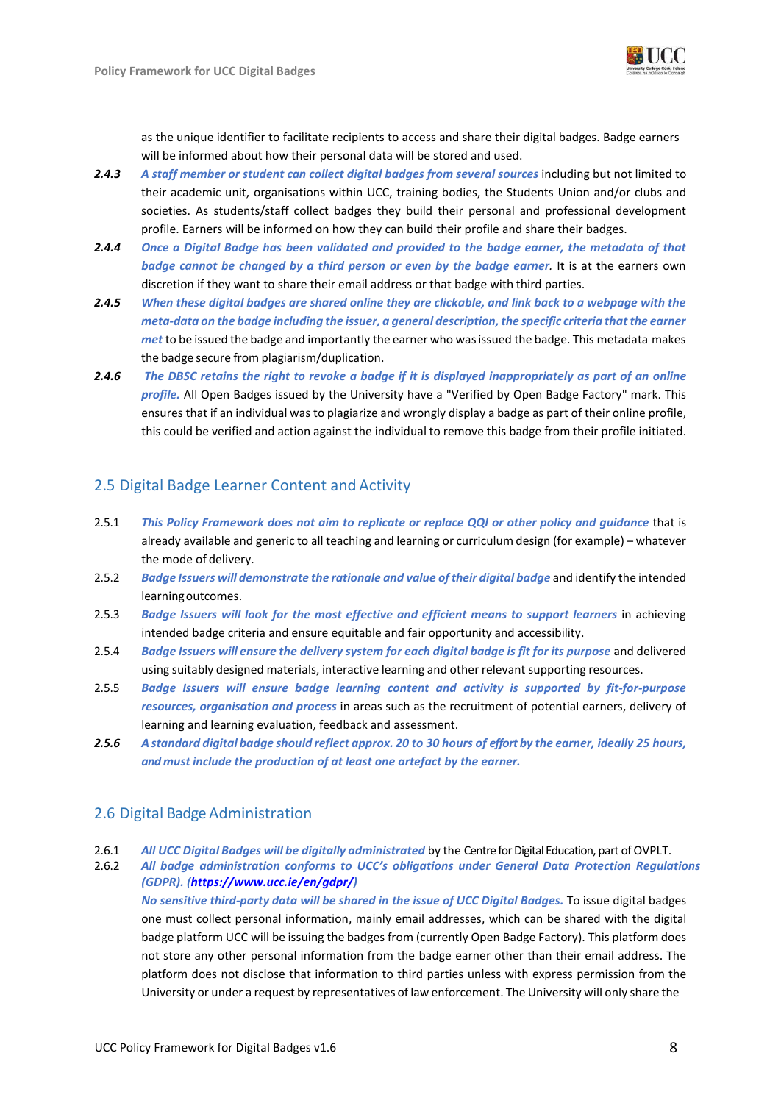

as the unique identifier to facilitate recipients to access and share their digital badges. Badge earners will be informed about how their personal data will be stored and used.

- *2.4.3 A staff member or student can collect digital badges from several sources* including but not limited to their academic unit, organisations within UCC, training bodies, the Students Union and/or clubs and societies. As students/staff collect badges they build their personal and professional development profile. Earners will be informed on how they can build their profile and share their badges.
- *2.4.4 Once a Digital Badge has been validated and provided to the badge earner, the metadata of that badge cannot be changed by a third person or even by the badge earner.* It is at the earners own discretion if they want to share their email address or that badge with third parties.
- *2.4.5 When these digital badges are shared online they are clickable, and link back to a webpage with the meta-data on the badge including the issuer, a general description, the specific criteria that the earner met* to be issued the badge and importantly the earner who wasissued the badge. This metadata makes the badge secure from plagiarism/duplication.
- *2.4.6 The DBSC retains the right to revoke a badge if it is displayed inappropriately as part of an online profile.* All Open Badges issued by the University have a "Verified by Open Badge Factory" mark. This ensures that if an individual was to plagiarize and wrongly display a badge as part of their online profile, this could be verified and action against the individual to remove this badge from their profile initiated.

## <span id="page-7-0"></span>2.5 Digital Badge Learner Content and Activity

- 2.5.1 *This Policy Framework does not aim to replicate or replace QQI or other policy and guidance* that is already available and generic to all teaching and learning or curriculum design (for example) – whatever the mode of delivery.
- 2.5.2 *Badge Issuers will demonstrate the rationale and value oftheir digital badge* and identify the intended learningoutcomes.
- 2.5.3 *Badge Issuers will look for the most effective and efficient means to support learners* in achieving intended badge criteria and ensure equitable and fair opportunity and accessibility.
- 2.5.4 *Badge Issuers will ensure the delivery system for each digital badge is fit for its purpose* and delivered using suitably designed materials, interactive learning and other relevant supporting resources.
- 2.5.5 *Badge Issuers will ensure badge learning content and activity is supported by fit-for-purpose resources, organisation and process* in areas such as the recruitment of potential earners, delivery of learning and learning evaluation, feedback and assessment.
- *2.5.6 A standard digital badge should reflect approx. 20 to 30 hours of effort by the earner, ideally 25 hours, and must include the production of at least one artefact by the earner.*

### <span id="page-7-1"></span>2.6 Digital Badge Administration

2.6.1 *All UCC Digital Badges will be digitally administrated* by the Centre for Digital Education, part of OVPLT.

2.6.2 *All badge administration conforms to UCC's obligations under General Data Protection Regulations (GDPR). [\(https://www.ucc.ie/en/gdpr/\)](https://www.ucc.ie/en/gdpr/)* 

*No sensitive third-party data will be shared in the issue of UCC Digital Badges.* To issue digital badges one must collect personal information, mainly email addresses, which can be shared with the digital badge platform UCC will be issuing the badges from (currently Open Badge Factory). This platform does not store any other personal information from the badge earner other than their email address. The platform does not disclose that information to third parties unless with express permission from the University or under a request by representatives of law enforcement. The University will only share the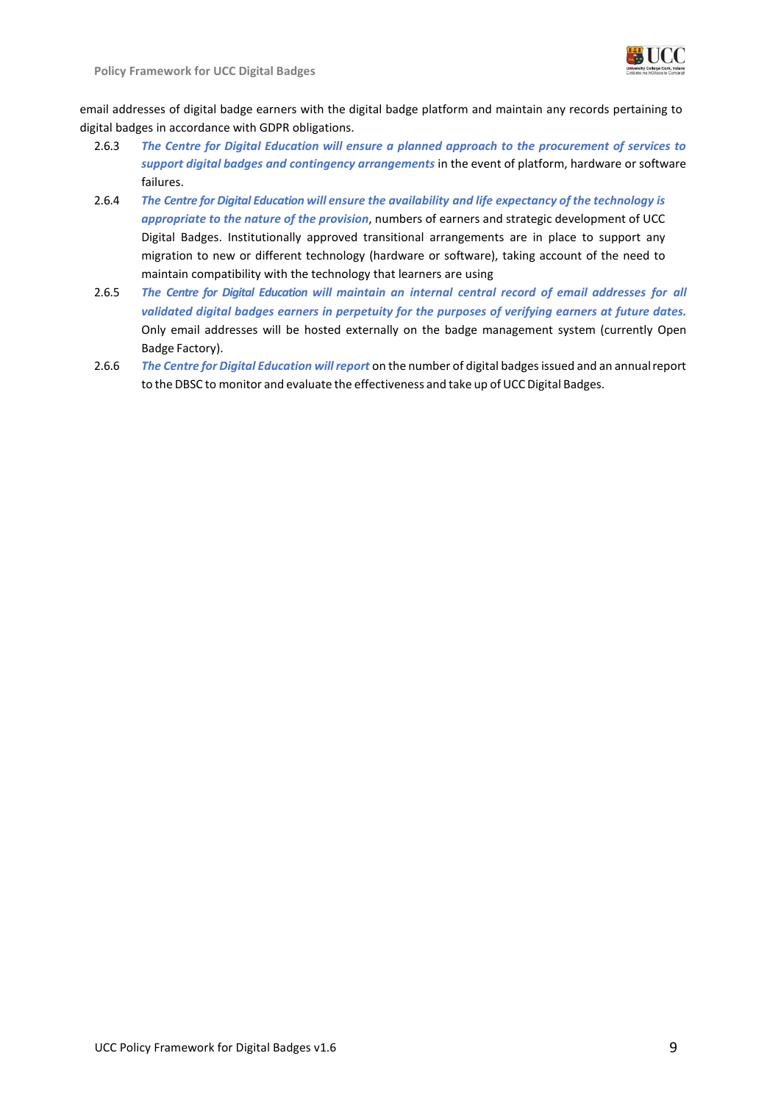

**Policy Framework for UCC Digital Badges**

email addresses of digital badge earners with the digital badge platform and maintain any records pertaining to digital badges in accordance with GDPR obligations.

- 2.6.3 *The Centre for Digital Education will ensure a planned approach to the procurement of services to support digital badges and contingency arrangements* in the event of platform, hardware or software failures.
- 2.6.4 *The Centre for Digital Education will ensure the availability and life expectancy of the technology is appropriate to the nature of the provision*, numbers of earners and strategic development of UCC Digital Badges. Institutionally approved transitional arrangements are in place to support any migration to new or different technology (hardware or software), taking account of the need to maintain compatibility with the technology that learners are using
- 2.6.5 *The Centre for Digital Education will maintain an internal central record of email addresses for all validated digital badges earners in perpetuity for the purposes of verifying earners at future dates.* Only email addresses will be hosted externally on the badge management system (currently Open Badge Factory).
- 2.6.6 *The Centre for Digital Education will report* on the number of digital badges issued and an annualreport to the DBSC to monitor and evaluate the effectiveness and take up of UCC Digital Badges.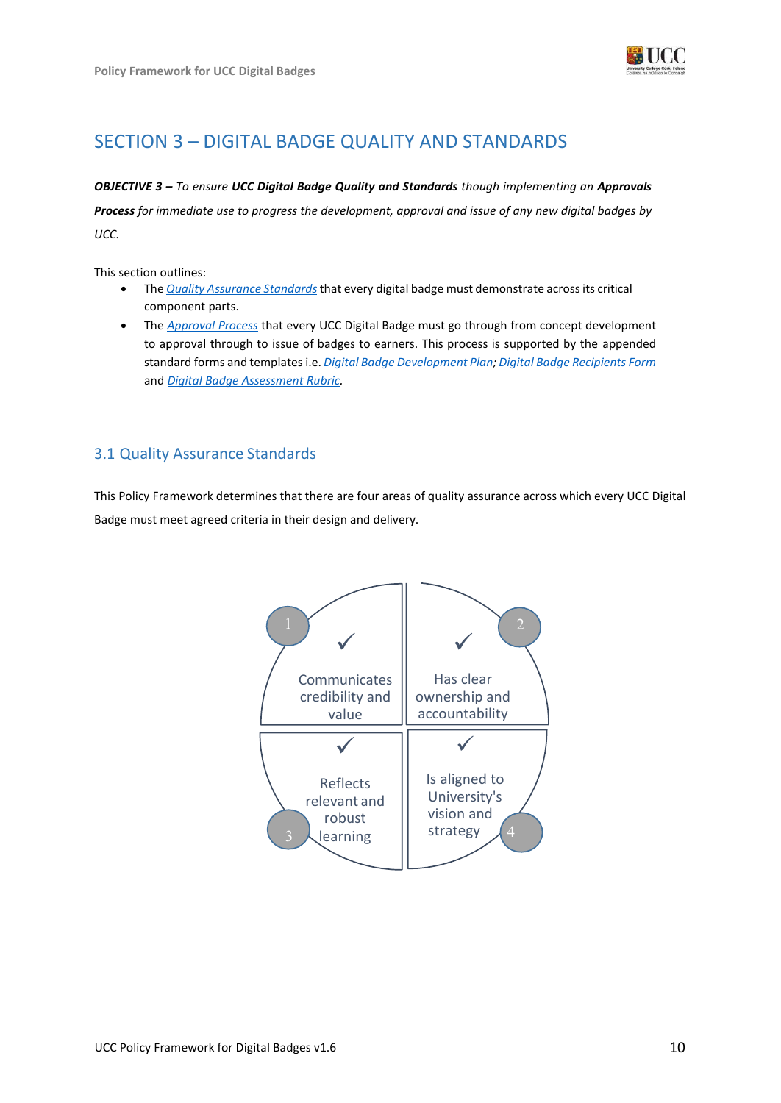

# <span id="page-9-0"></span>SECTION 3 – DIGITAL BADGE QUALITY AND STANDARDS

### *OBJECTIVE 3 – To ensure UCC Digital Badge Quality and Standards though implementing an Approvals*

*Process for immediate use to progress the development, approval and issue of any new digital badges by UCC.*

This section outlines:

- The *Quality Assurance Standards*that every digital badge must demonstrate acrossits critical component parts.
- The *Approval Process* that every UCC Digital Badge must go through from concept development to approval through to issue of badges to earners. This process is supported by the appended standard forms and templates i.e. *Digital Badge Development Plan; Digital Badge Recipients Form*  and *Digital Badge Assessment Rubric.*

# <span id="page-9-1"></span>3.1 Quality Assurance Standards

This Policy Framework determines that there are four areas of quality assurance across which every UCC Digital Badge must meet agreed criteria in their design and delivery.

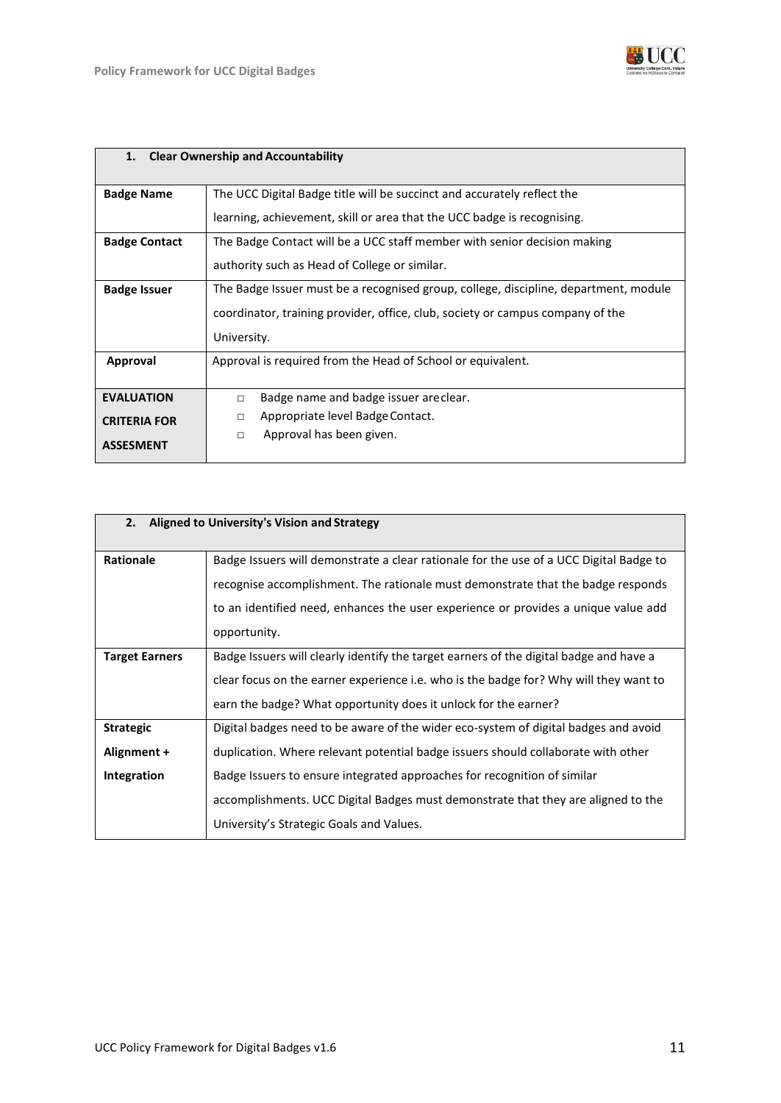

| 1.                   | <b>Clear Ownership and Accountability</b>                                            |  |
|----------------------|--------------------------------------------------------------------------------------|--|
|                      |                                                                                      |  |
| <b>Badge Name</b>    | The UCC Digital Badge title will be succinct and accurately reflect the              |  |
|                      | learning, achievement, skill or area that the UCC badge is recognising.              |  |
| <b>Badge Contact</b> | The Badge Contact will be a UCC staff member with senior decision making             |  |
|                      | authority such as Head of College or similar.                                        |  |
| <b>Badge Issuer</b>  | The Badge Issuer must be a recognised group, college, discipline, department, module |  |
|                      | coordinator, training provider, office, club, society or campus company of the       |  |
|                      | University.                                                                          |  |
| <b>Approval</b>      | Approval is required from the Head of School or equivalent.                          |  |
|                      |                                                                                      |  |
| <b>EVALUATION</b>    | Badge name and badge issuer are clear.<br>$\Box$                                     |  |
| <b>CRITERIA FOR</b>  | Appropriate level Badge Contact.<br>п                                                |  |
|                      | Approval has been given.<br>$\Box$                                                   |  |
| <b>ASSESMENT</b>     |                                                                                      |  |

| Aligned to University's Vision and Strategy<br>2.     |                                                                                                                                                                                                                                                                                                                                                                                       |
|-------------------------------------------------------|---------------------------------------------------------------------------------------------------------------------------------------------------------------------------------------------------------------------------------------------------------------------------------------------------------------------------------------------------------------------------------------|
| <b>Rationale</b>                                      | Badge Issuers will demonstrate a clear rationale for the use of a UCC Digital Badge to<br>recognise accomplishment. The rationale must demonstrate that the badge responds<br>to an identified need, enhances the user experience or provides a unique value add<br>opportunity.                                                                                                      |
| <b>Target Earners</b>                                 | Badge Issuers will clearly identify the target earners of the digital badge and have a<br>clear focus on the earner experience i.e. who is the badge for? Why will they want to<br>earn the badge? What opportunity does it unlock for the earner?                                                                                                                                    |
| <b>Strategic</b><br>Alignment +<br><b>Integration</b> | Digital badges need to be aware of the wider eco-system of digital badges and avoid<br>duplication. Where relevant potential badge issuers should collaborate with other<br>Badge Issuers to ensure integrated approaches for recognition of similar<br>accomplishments. UCC Digital Badges must demonstrate that they are aligned to the<br>University's Strategic Goals and Values. |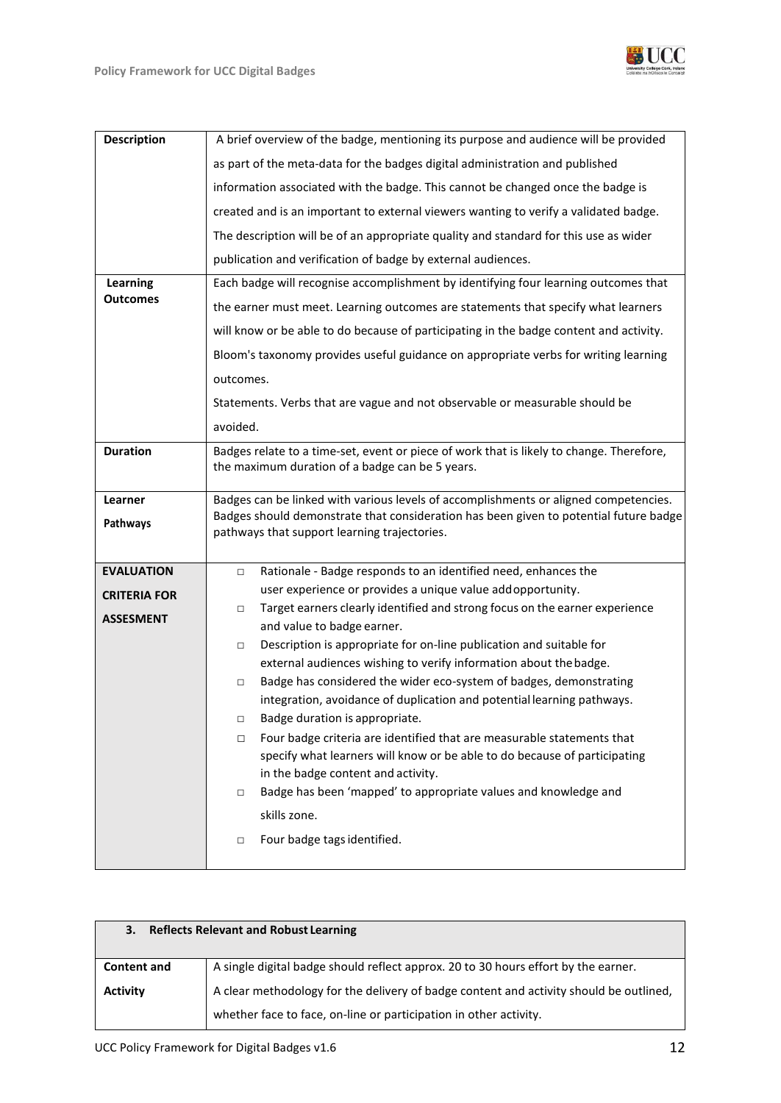

| <b>Description</b>  | A brief overview of the badge, mentioning its purpose and audience will be provided                                                                                           |  |
|---------------------|-------------------------------------------------------------------------------------------------------------------------------------------------------------------------------|--|
|                     | as part of the meta-data for the badges digital administration and published                                                                                                  |  |
|                     | information associated with the badge. This cannot be changed once the badge is                                                                                               |  |
|                     | created and is an important to external viewers wanting to verify a validated badge.                                                                                          |  |
|                     | The description will be of an appropriate quality and standard for this use as wider                                                                                          |  |
|                     | publication and verification of badge by external audiences.                                                                                                                  |  |
| Learning            | Each badge will recognise accomplishment by identifying four learning outcomes that                                                                                           |  |
| Outcomes            | the earner must meet. Learning outcomes are statements that specify what learners                                                                                             |  |
|                     | will know or be able to do because of participating in the badge content and activity.                                                                                        |  |
|                     | Bloom's taxonomy provides useful guidance on appropriate verbs for writing learning                                                                                           |  |
|                     | outcomes.                                                                                                                                                                     |  |
|                     | Statements. Verbs that are vague and not observable or measurable should be                                                                                                   |  |
|                     | avoided.                                                                                                                                                                      |  |
| <b>Duration</b>     | Badges relate to a time-set, event or piece of work that is likely to change. Therefore,<br>the maximum duration of a badge can be 5 years.                                   |  |
|                     |                                                                                                                                                                               |  |
| Learner             | Badges can be linked with various levels of accomplishments or aligned competencies.<br>Badges should demonstrate that consideration has been given to potential future badge |  |
| Pathways            | pathways that support learning trajectories.                                                                                                                                  |  |
|                     |                                                                                                                                                                               |  |
| <b>EVALUATION</b>   | Rationale - Badge responds to an identified need, enhances the<br>$\Box$<br>user experience or provides a unique value addopportunity.                                        |  |
| <b>CRITERIA FOR</b> | Target earners clearly identified and strong focus on the earner experience<br>$\Box$                                                                                         |  |
| <b>ASSESMENT</b>    | and value to badge earner.                                                                                                                                                    |  |
|                     | Description is appropriate for on-line publication and suitable for<br>$\Box$                                                                                                 |  |
|                     | external audiences wishing to verify information about the badge.                                                                                                             |  |
|                     | Badge has considered the wider eco-system of badges, demonstrating<br>$\Box$<br>integration, avoidance of duplication and potential learning pathways.                        |  |
|                     | $\Box$<br>Badge duration is appropriate.                                                                                                                                      |  |
|                     | Four badge criteria are identified that are measurable statements that<br>$\Box$                                                                                              |  |
|                     | specify what learners will know or be able to do because of participating                                                                                                     |  |
|                     | in the badge content and activity.<br>Badge has been 'mapped' to appropriate values and knowledge and<br>$\Box$                                                               |  |
|                     | skills zone.                                                                                                                                                                  |  |
|                     | Four badge tags identified.<br>$\Box$                                                                                                                                         |  |
|                     |                                                                                                                                                                               |  |

| <b>Reflects Relevant and Robust Learning</b><br>3. |                                                                                                                                                             |  |
|----------------------------------------------------|-------------------------------------------------------------------------------------------------------------------------------------------------------------|--|
| <b>Content and</b>                                 | A single digital badge should reflect approx. 20 to 30 hours effort by the earner.                                                                          |  |
| <b>Activity</b>                                    | A clear methodology for the delivery of badge content and activity should be outlined,<br>whether face to face, on-line or participation in other activity. |  |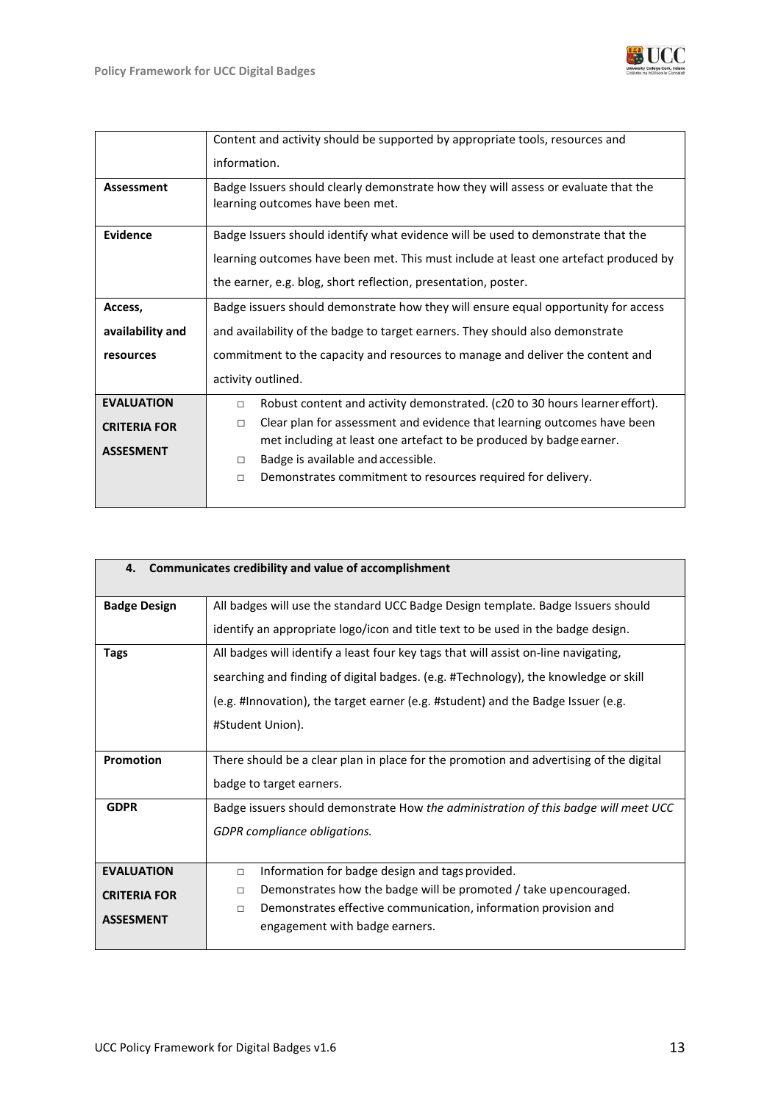

|                     | Content and activity should be supported by appropriate tools, resources and                                           |  |
|---------------------|------------------------------------------------------------------------------------------------------------------------|--|
|                     | information.                                                                                                           |  |
| <b>Assessment</b>   | Badge Issuers should clearly demonstrate how they will assess or evaluate that the<br>learning outcomes have been met. |  |
| Evidence            | Badge Issuers should identify what evidence will be used to demonstrate that the                                       |  |
|                     | learning outcomes have been met. This must include at least one artefact produced by                                   |  |
|                     | the earner, e.g. blog, short reflection, presentation, poster.                                                         |  |
| Access,             | Badge issuers should demonstrate how they will ensure equal opportunity for access                                     |  |
| availability and    | and availability of the badge to target earners. They should also demonstrate                                          |  |
| resources           | commitment to the capacity and resources to manage and deliver the content and                                         |  |
|                     | activity outlined.                                                                                                     |  |
| <b>EVALUATION</b>   | Robust content and activity demonstrated. (c20 to 30 hours learner effort).<br>$\Box$                                  |  |
| <b>CRITERIA FOR</b> | Clear plan for assessment and evidence that learning outcomes have been<br>$\Box$                                      |  |
| <b>ASSESMENT</b>    | met including at least one artefact to be produced by badge earner.                                                    |  |
|                     | Badge is available and accessible.<br>$\Box$<br>$\Box$                                                                 |  |
|                     | Demonstrates commitment to resources required for delivery.                                                            |  |

| 4.                  | Communicates credibility and value of accomplishment                                   |
|---------------------|----------------------------------------------------------------------------------------|
|                     |                                                                                        |
| <b>Badge Design</b> | All badges will use the standard UCC Badge Design template. Badge Issuers should       |
|                     | identify an appropriate logo/icon and title text to be used in the badge design.       |
| <b>Tags</b>         | All badges will identify a least four key tags that will assist on-line navigating,    |
|                     | searching and finding of digital badges. (e.g. #Technology), the knowledge or skill    |
|                     | (e.g. #Innovation), the target earner (e.g. #student) and the Badge Issuer (e.g.       |
|                     | #Student Union).                                                                       |
|                     |                                                                                        |
| Promotion           | There should be a clear plan in place for the promotion and advertising of the digital |
|                     | badge to target earners.                                                               |
| <b>GDPR</b>         | Badge issuers should demonstrate How the administration of this badge will meet UCC    |
|                     | GDPR compliance obligations.                                                           |
|                     |                                                                                        |
| <b>EVALUATION</b>   | Information for badge design and tags provided.<br>$\Box$                              |
|                     | Demonstrates how the badge will be promoted / take upencouraged.<br>$\Box$             |
| <b>CRITERIA FOR</b> | Demonstrates effective communication, information provision and<br>$\Box$              |
| <b>ASSESMENT</b>    | engagement with badge earners.                                                         |
|                     |                                                                                        |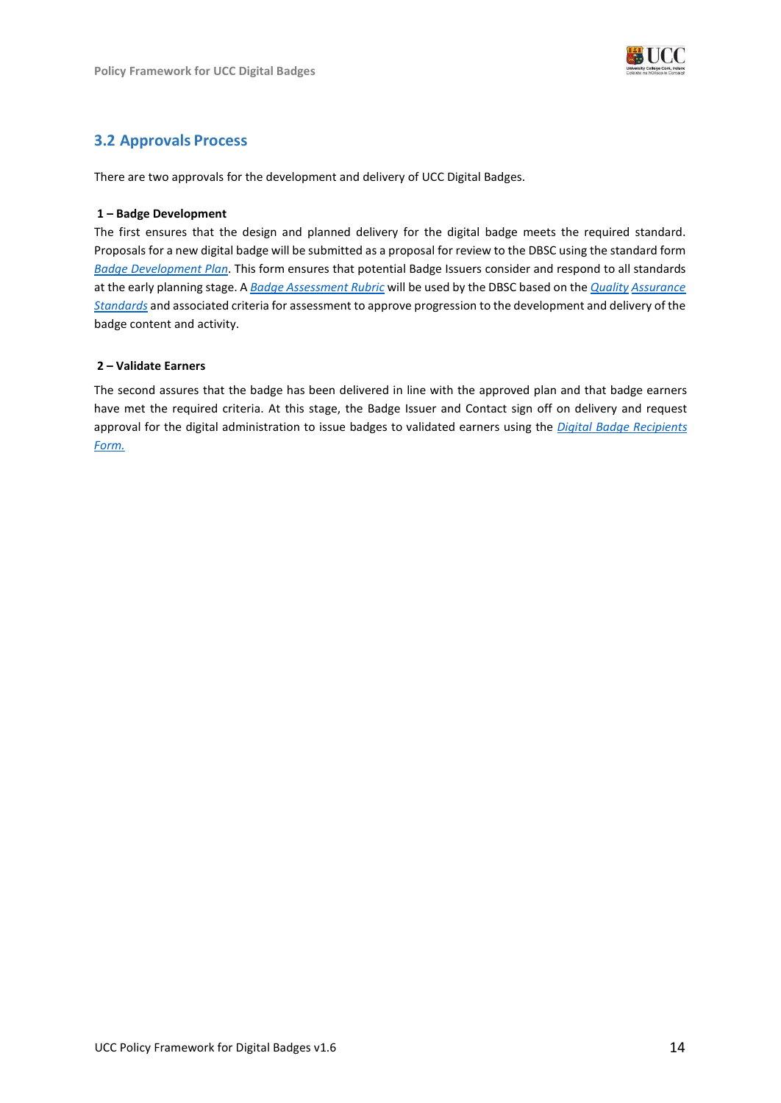

## **3.2 Approvals Process**

There are two approvals for the development and delivery of UCC Digital Badges.

### **1 – Badge Development**

The first ensures that the design and planned delivery for the digital badge meets the required standard. Proposals for a new digital badge will be submitted as a proposal for review to the DBSC using the standard form *Badge Development Plan*. This form ensures that potential Badge Issuers consider and respond to all standards at the early planning stage. A *Badge Assessment Rubric* will be used by the DBSC based on the *Quality Assurance Standards* and associated criteria for assessment to approve progression to the development and delivery of the badge content and activity.

### **2 – Validate Earners**

The second assures that the badge has been delivered in line with the approved plan and that badge earners have met the required criteria. At this stage, the Badge Issuer and Contact sign off on delivery and request approval for the digital administration to issue badges to validated earners using the *Digital Badge Recipients Form.*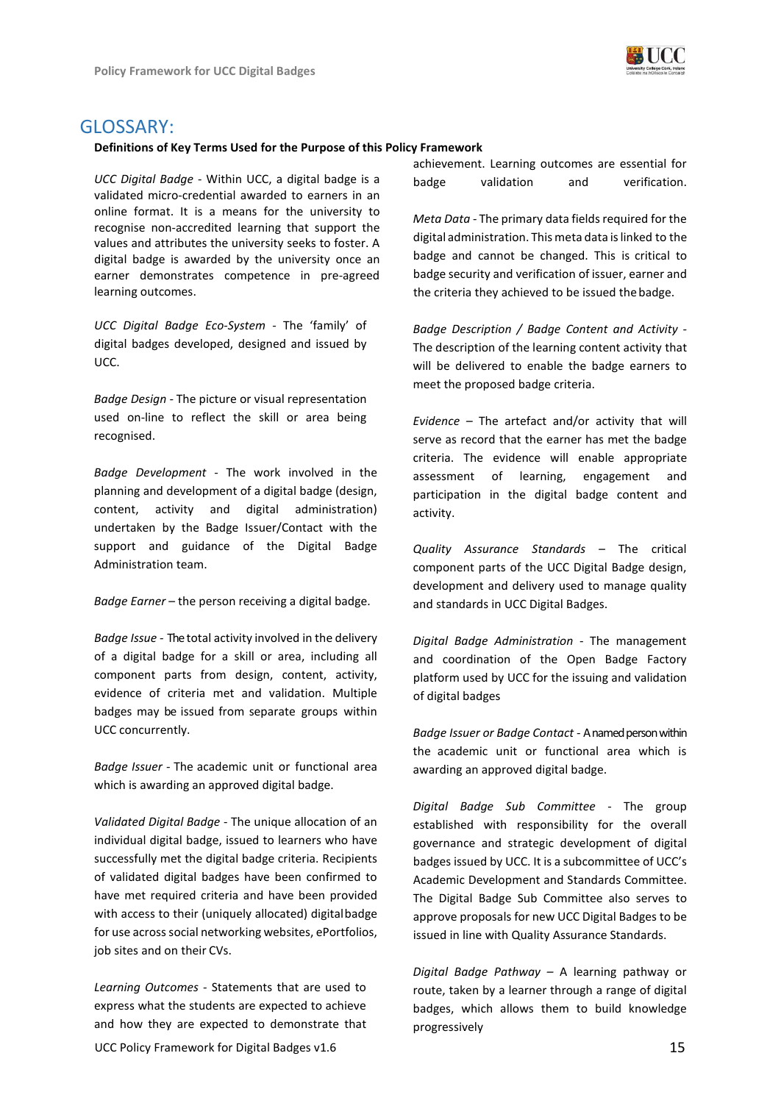

## <span id="page-14-0"></span>GLOSSARY:

#### **Definitions of Key Terms Used for the Purpose of this Policy Framework**

*UCC Digital Badge* - Within UCC, a digital badge is a validated micro-credential awarded to earners in an online format. It is a means for the university to recognise non-accredited learning that support the values and attributes the university seeks to foster. A digital badge is awarded by the university once an earner demonstrates competence in pre-agreed learning outcomes.

*UCC Digital Badge Eco-System -* The 'family' of digital badges developed, designed and issued by UCC.

*Badge Design -* The picture or visual representation used on-line to reflect the skill or area being recognised.

*Badge Development -* The work involved in the planning and development of a digital badge (design, content, activity and digital administration) undertaken by the Badge Issuer/Contact with the support and guidance of the Digital Badge Administration team.

*Badge Earner* – the person receiving a digital badge.

*Badge Issue -* Thetotal activity involved in the delivery of a digital badge for a skill or area, including all component parts from design, content, activity, evidence of criteria met and validation. Multiple badges may be issued from separate groups within UCC concurrently.

*Badge Issuer -* The academic unit or functional area which is awarding an approved digital badge.

*Validated Digital Badge* - The unique allocation of an individual digital badge, issued to learners who have successfully met the digital badge criteria. Recipients of validated digital badges have been confirmed to have met required criteria and have been provided with access to their (uniquely allocated) digitalbadge for use across social networking websites, ePortfolios, job sites and on their CVs.

*Learning Outcomes -* Statements that are used to express what the students are expected to achieve and how they are expected to demonstrate that achievement. Learning outcomes are essential for badge validation and verification.

*Meta Data* - The primary data fields required for the digital administration. Thismeta data islinked to the badge and cannot be changed. This is critical to badge security and verification of issuer, earner and the criteria they achieved to be issued the badge.

*Badge Description / Badge Content and Activity -* The description of the learning content activity that will be delivered to enable the badge earners to meet the proposed badge criteria.

*Evidence –* The artefact and/or activity that will serve as record that the earner has met the badge criteria. The evidence will enable appropriate assessment of learning, engagement and participation in the digital badge content and activity.

*Quality Assurance Standards –* The critical component parts of the UCC Digital Badge design, development and delivery used to manage quality and standards in UCC Digital Badges.

*Digital Badge Administration -* The management and coordination of the Open Badge Factory platform used by UCC for the issuing and validation of digital badges

*Badge Issuer or Badge Contact -* A named person within the academic unit or functional area which is awarding an approved digital badge.

*Digital Badge Sub Committee* - The group established with responsibility for the overall governance and strategic development of digital badges issued by UCC. It is a subcommittee of UCC's Academic Development and Standards Committee. The Digital Badge Sub Committee also serves to approve proposals for new UCC Digital Badges to be issued in line with Quality Assurance Standards.

*Digital Badge Pathway –* A learning pathway or route, taken by a learner through a range of digital badges, which allows them to build knowledge progressively

UCC Policy Framework for Digital Badges v1.6 15 15 15 15 15 15 15 16 16 17 18 17 18 17 18 17 18 17 18 17 18 17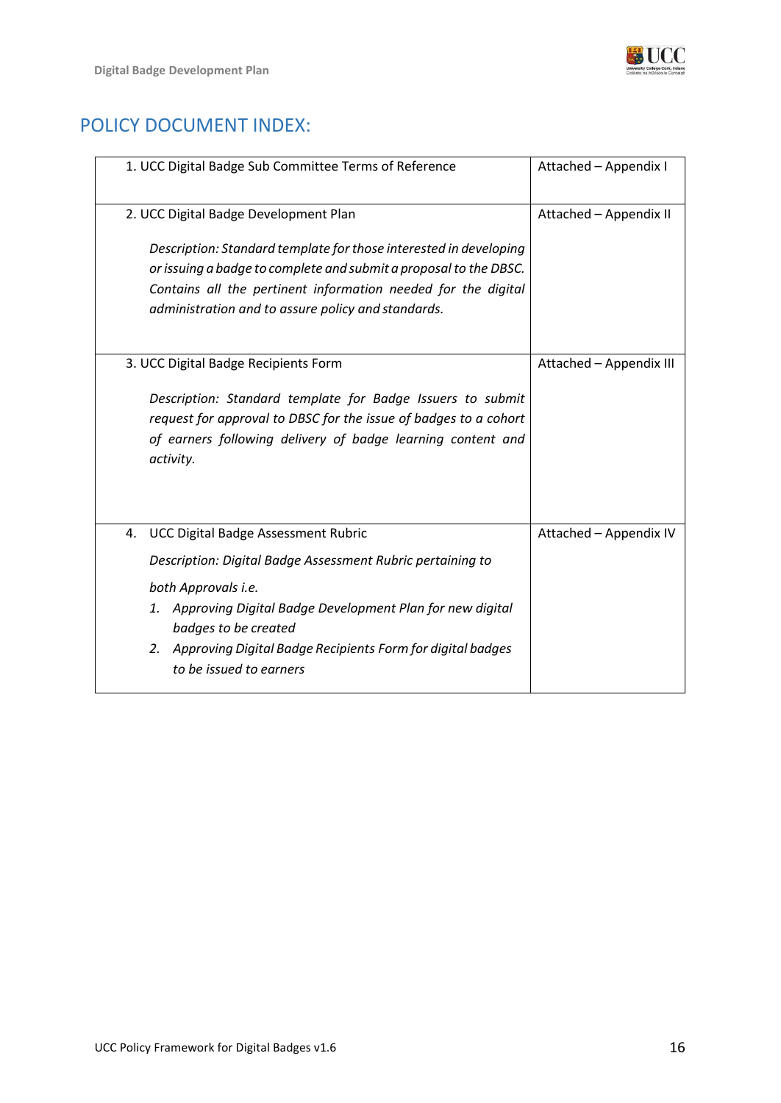

# <span id="page-15-0"></span>POLICY DOCUMENT INDEX:

| 1. UCC Digital Badge Sub Committee Terms of Reference                                                                                                                                                                                                                                                                    | Attached - Appendix I   |
|--------------------------------------------------------------------------------------------------------------------------------------------------------------------------------------------------------------------------------------------------------------------------------------------------------------------------|-------------------------|
| 2. UCC Digital Badge Development Plan<br>Description: Standard template for those interested in developing<br>or issuing a badge to complete and submit a proposal to the DBSC.<br>Contains all the pertinent information needed for the digital<br>administration and to assure policy and standards.                   | Attached - Appendix II  |
| 3. UCC Digital Badge Recipients Form<br>Description: Standard template for Badge Issuers to submit<br>request for approval to DBSC for the issue of badges to a cohort<br>of earners following delivery of badge learning content and<br>activity.                                                                       | Attached - Appendix III |
| <b>UCC Digital Badge Assessment Rubric</b><br>4.<br>Description: Digital Badge Assessment Rubric pertaining to<br>both Approvals i.e.<br>1. Approving Digital Badge Development Plan for new digital<br>badges to be created<br>2. Approving Digital Badge Recipients Form for digital badges<br>to be issued to earners | Attached - Appendix IV  |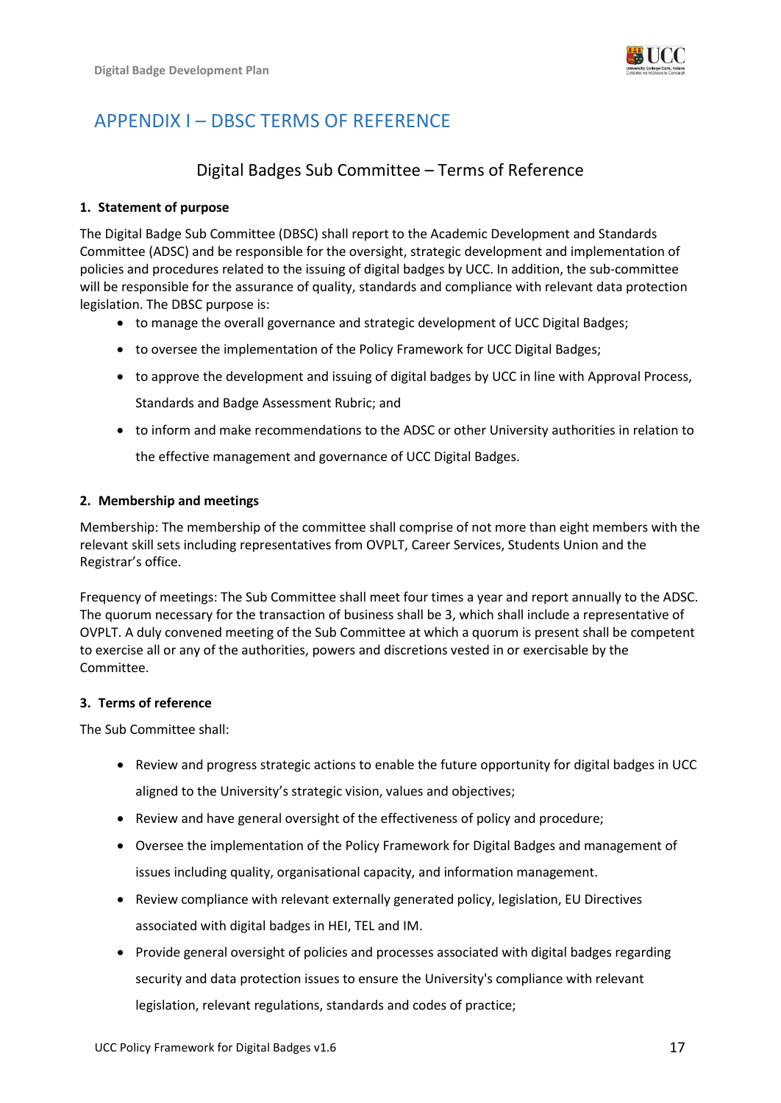

# <span id="page-16-0"></span>APPENDIX I – DBSC TERMS OF REFERENCE

# Digital Badges Sub Committee – Terms of Reference

### **1. Statement of purpose**

The Digital Badge Sub Committee (DBSC) shall report to the Academic Development and Standards Committee (ADSC) and be responsible for the oversight, strategic development and implementation of policies and procedures related to the issuing of digital badges by UCC. In addition, the sub-committee will be responsible for the assurance of quality, standards and compliance with relevant data protection legislation. The DBSC purpose is:

- to manage the overall governance and strategic development of UCC Digital Badges;
- to oversee the implementation of the Policy Framework for UCC Digital Badges;
- to approve the development and issuing of digital badges by UCC in line with Approval Process, Standards and Badge Assessment Rubric; and
- to inform and make recommendations to the ADSC or other University authorities in relation to

the effective management and governance of UCC Digital Badges.

### **2. Membership and meetings**

Membership: The membership of the committee shall comprise of not more than eight members with the relevant skill sets including representatives from OVPLT, Career Services, Students Union and the Registrar's office.

Frequency of meetings: The Sub Committee shall meet four times a year and report annually to the ADSC. The quorum necessary for the transaction of business shall be 3, which shall include a representative of OVPLT. A duly convened meeting of the Sub Committee at which a quorum is present shall be competent to exercise all or any of the authorities, powers and discretions vested in or exercisable by the Committee.

### **3. Terms of reference**

The Sub Committee shall:

- Review and progress strategic actions to enable the future opportunity for digital badges in UCC aligned to the University's strategic vision, values and objectives;
- Review and have general oversight of the effectiveness of policy and procedure;
- Oversee the implementation of the Policy Framework for Digital Badges and management of issues including quality, organisational capacity, and information management.
- Review compliance with relevant externally generated policy, legislation, EU Directives associated with digital badges in HEI, TEL and IM.
- Provide general oversight of policies and processes associated with digital badges regarding security and data protection issues to ensure the University's compliance with relevant legislation, relevant regulations, standards and codes of practice;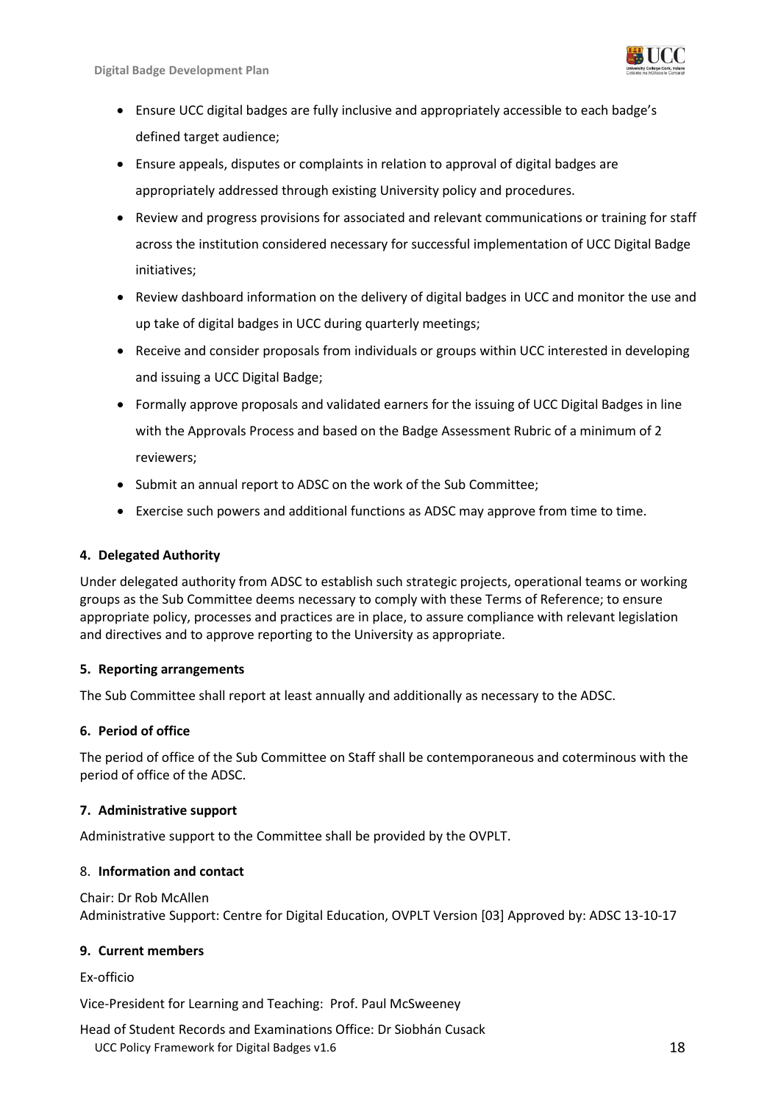

- Ensure UCC digital badges are fully inclusive and appropriately accessible to each badge's defined target audience;
- Ensure appeals, disputes or complaints in relation to approval of digital badges are appropriately addressed through existing University policy and procedures.
- Review and progress provisions for associated and relevant communications or training for staff across the institution considered necessary for successful implementation of UCC Digital Badge initiatives;
- Review dashboard information on the delivery of digital badges in UCC and monitor the use and up take of digital badges in UCC during quarterly meetings;
- Receive and consider proposals from individuals or groups within UCC interested in developing and issuing a UCC Digital Badge;
- Formally approve proposals and validated earners for the issuing of UCC Digital Badges in line with the Approvals Process and based on the Badge Assessment Rubric of a minimum of 2 reviewers;
- Submit an annual report to ADSC on the work of the Sub Committee;
- Exercise such powers and additional functions as ADSC may approve from time to time.

## **4. Delegated Authority**

Under delegated authority from ADSC to establish such strategic projects, operational teams or working groups as the Sub Committee deems necessary to comply with these Terms of Reference; to ensure appropriate policy, processes and practices are in place, to assure compliance with relevant legislation and directives and to approve reporting to the University as appropriate.

### **5. Reporting arrangements**

The Sub Committee shall report at least annually and additionally as necessary to the ADSC.

### **6. Period of office**

The period of office of the Sub Committee on Staff shall be contemporaneous and coterminous with the period of office of the ADSC.

### **7. Administrative support**

Administrative support to the Committee shall be provided by the OVPLT.

### 8. **Information and contact**

Chair: Dr Rob McAllen Administrative Support: Centre for Digital Education, OVPLT Version [03] Approved by: ADSC 13-10-17

## **9. Current members**

### Ex-officio

Vice-President for Learning and Teaching: Prof. Paul McSweeney

UCC Policy Framework for Digital Badges v1.6 18 18 18 Head of Student Records and Examinations Office: Dr Siobhán Cusack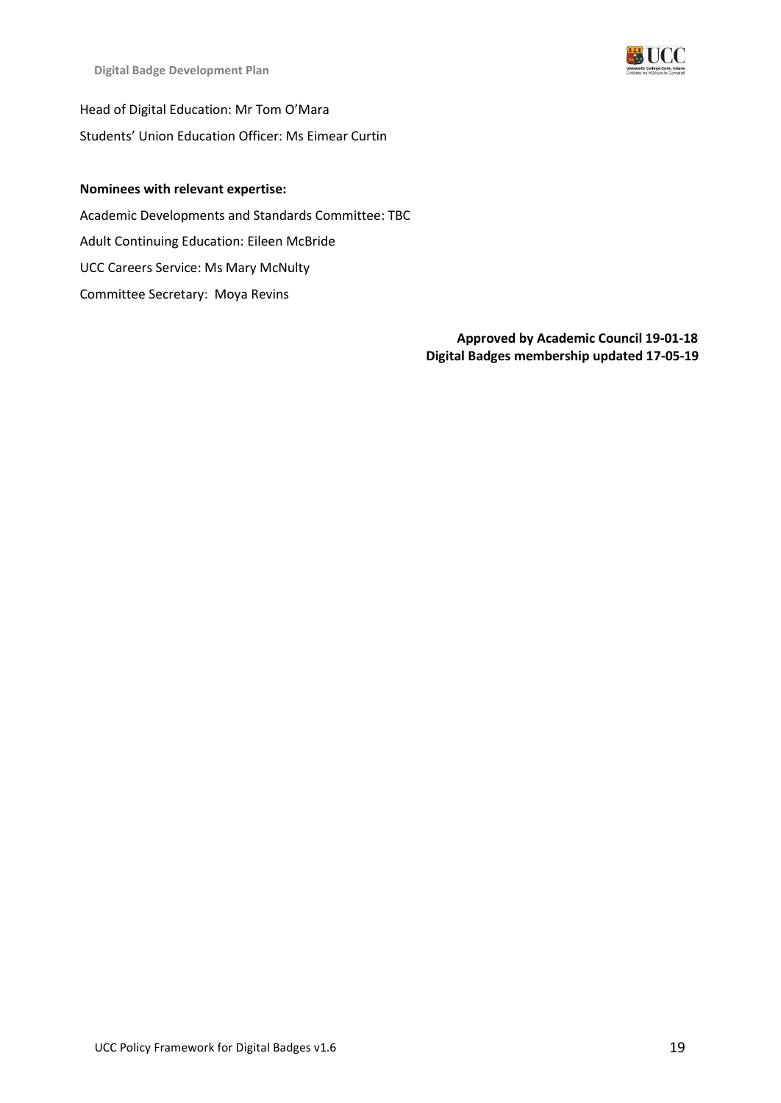

**Digital Badge Development Plan**

Head of Digital Education: Mr Tom O'Mara Students' Union Education Officer: Ms Eimear Curtin

### **Nominees with relevant expertise:**

Academic Developments and Standards Committee: TBC Adult Continuing Education: Eileen McBride UCC Careers Service: Ms Mary McNulty Committee Secretary: Moya Revins

> **Approved by Academic Council 19-01-18 Digital Badges membership updated 17-05-19**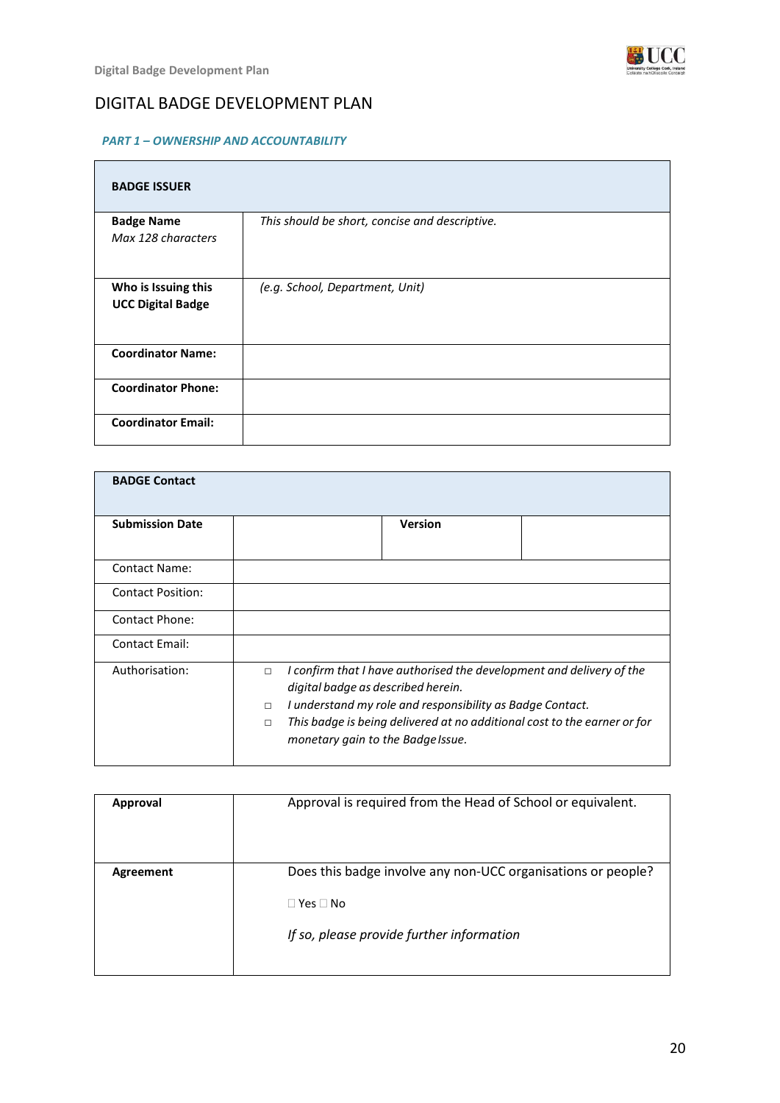

# DIGITAL BADGE DEVELOPMENT PLAN

### *PART 1 – OWNERSHIP AND ACCOUNTABILITY*

| <b>BADGE ISSUER</b>                             |                                                |
|-------------------------------------------------|------------------------------------------------|
| <b>Badge Name</b><br>Max 128 characters         | This should be short, concise and descriptive. |
| Who is Issuing this<br><b>UCC Digital Badge</b> | (e.g. School, Department, Unit)                |
| <b>Coordinator Name:</b>                        |                                                |
| <b>Coordinator Phone:</b>                       |                                                |
| <b>Coordinator Email:</b>                       |                                                |

| <b>BADGE Contact</b>     |                                                                                                                                                                                                                                                                                                                        |
|--------------------------|------------------------------------------------------------------------------------------------------------------------------------------------------------------------------------------------------------------------------------------------------------------------------------------------------------------------|
| <b>Submission Date</b>   | <b>Version</b>                                                                                                                                                                                                                                                                                                         |
| <b>Contact Name:</b>     |                                                                                                                                                                                                                                                                                                                        |
| <b>Contact Position:</b> |                                                                                                                                                                                                                                                                                                                        |
| <b>Contact Phone:</b>    |                                                                                                                                                                                                                                                                                                                        |
| <b>Contact Email:</b>    |                                                                                                                                                                                                                                                                                                                        |
| Authorisation:           | I confirm that I have authorised the development and delivery of the<br>$\Box$<br>digital badge as described herein.<br>I understand my role and responsibility as Badge Contact.<br>$\Box$<br>This badge is being delivered at no additional cost to the earner or for<br>$\Box$<br>monetary gain to the Badge Issue. |

| Approval  | Approval is required from the Head of School or equivalent.                                                                       |
|-----------|-----------------------------------------------------------------------------------------------------------------------------------|
| Agreement | Does this badge involve any non-UCC organisations or people?<br>$\Box$ Yes $\Box$ No<br>If so, please provide further information |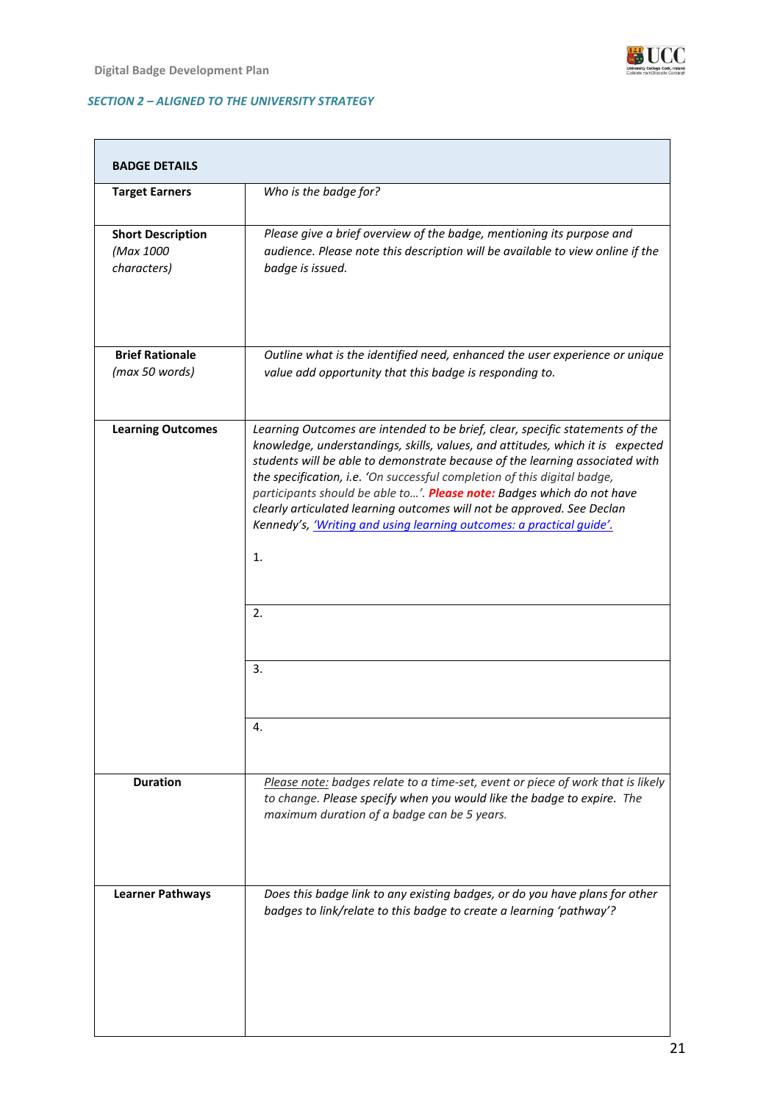

### *SECTION 2 – ALIGNED TO THE UNIVERSITY STRATEGY*

| <b>BADGE DETAILS</b>                                 |                                                                                                                                                                                                                                                                                                                                                                                                                                                                                                                                                                           |
|------------------------------------------------------|---------------------------------------------------------------------------------------------------------------------------------------------------------------------------------------------------------------------------------------------------------------------------------------------------------------------------------------------------------------------------------------------------------------------------------------------------------------------------------------------------------------------------------------------------------------------------|
| <b>Target Earners</b>                                | Who is the badge for?                                                                                                                                                                                                                                                                                                                                                                                                                                                                                                                                                     |
| <b>Short Description</b><br>(Max 1000<br>characters) | Please give a brief overview of the badge, mentioning its purpose and<br>audience. Please note this description will be available to view online if the<br>badge is issued.                                                                                                                                                                                                                                                                                                                                                                                               |
| <b>Brief Rationale</b><br>(max 50 words)             | Outline what is the identified need, enhanced the user experience or unique<br>value add opportunity that this badge is responding to.                                                                                                                                                                                                                                                                                                                                                                                                                                    |
| <b>Learning Outcomes</b>                             | Learning Outcomes are intended to be brief, clear, specific statements of the<br>knowledge, understandings, skills, values, and attitudes, which it is expected<br>students will be able to demonstrate because of the learning associated with<br>the specification, i.e. 'On successful completion of this digital badge,<br>participants should be able to'. Please note: Badges which do not have<br>clearly articulated learning outcomes will not be approved. See Declan<br>Kennedy's, 'Writing and using learning outcomes: a practical quide'.<br>1.<br>2.<br>3. |
|                                                      |                                                                                                                                                                                                                                                                                                                                                                                                                                                                                                                                                                           |
| <b>Duration</b>                                      | Please note: badges relate to a time-set, event or piece of work that is likely<br>to change. Please specify when you would like the badge to expire. The<br>maximum duration of a badge can be 5 years.                                                                                                                                                                                                                                                                                                                                                                  |
| <b>Learner Pathways</b>                              | Does this badge link to any existing badges, or do you have plans for other<br>badges to link/relate to this badge to create a learning 'pathway'?                                                                                                                                                                                                                                                                                                                                                                                                                        |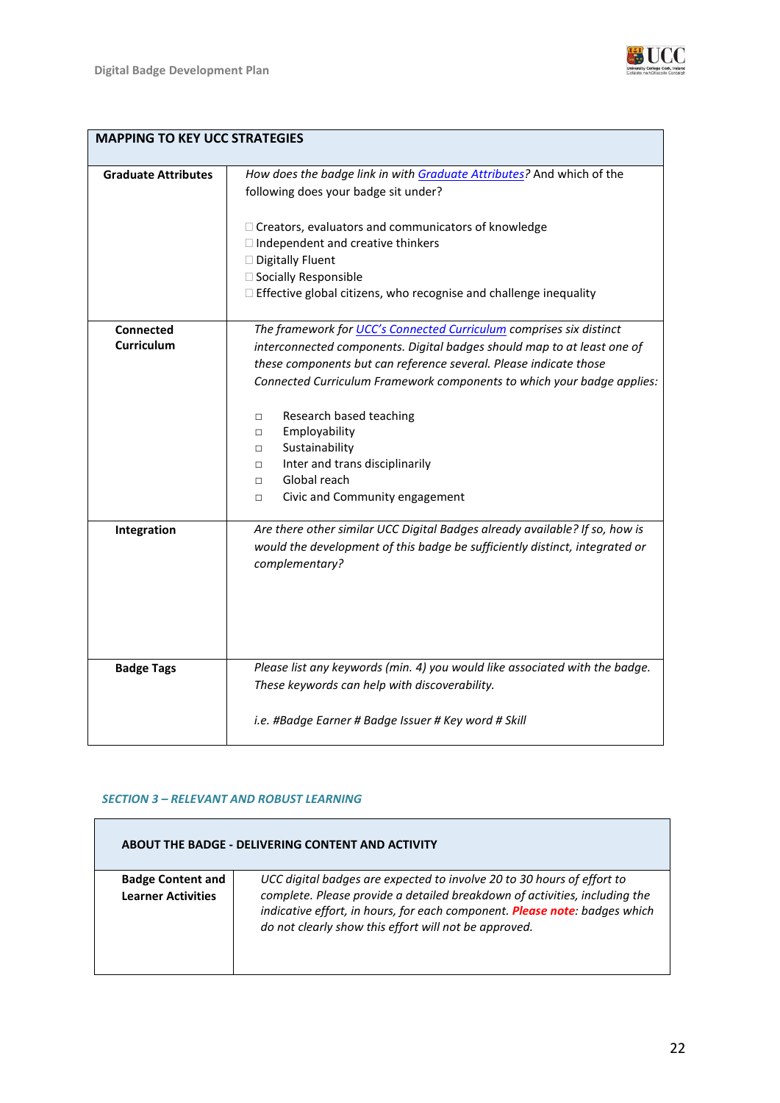

**WUCC** 

| <b>MAPPING TO KEY UCC STRATEGIES</b> |                                                                                                                                                                                                                                                                                                                                                                                                                                                                                                             |  |  |  |  |
|--------------------------------------|-------------------------------------------------------------------------------------------------------------------------------------------------------------------------------------------------------------------------------------------------------------------------------------------------------------------------------------------------------------------------------------------------------------------------------------------------------------------------------------------------------------|--|--|--|--|
| <b>Graduate Attributes</b>           | How does the badge link in with Graduate Attributes? And which of the<br>following does your badge sit under?<br>□ Creators, evaluators and communicators of knowledge<br>□ Independent and creative thinkers<br>Digitally Fluent<br>□ Socially Responsible<br>□ Effective global citizens, who recognise and challenge inequality                                                                                                                                                                          |  |  |  |  |
| <b>Connected</b><br>Curriculum       | The framework for UCC's Connected Curriculum comprises six distinct<br>interconnected components. Digital badges should map to at least one of<br>these components but can reference several. Please indicate those<br>Connected Curriculum Framework components to which your badge applies:<br>Research based teaching<br>$\Box$<br>Employability<br>$\Box$<br>Sustainability<br>$\Box$<br>Inter and trans disciplinarily<br>$\Box$<br>Global reach<br>$\Box$<br>Civic and Community engagement<br>$\Box$ |  |  |  |  |
| Integration                          | Are there other similar UCC Digital Badges already available? If so, how is<br>would the development of this badge be sufficiently distinct, integrated or<br>complementary?                                                                                                                                                                                                                                                                                                                                |  |  |  |  |
| <b>Badge Tags</b>                    | Please list any keywords (min. 4) you would like associated with the badge.<br>These keywords can help with discoverability.<br>i.e. #Badge Earner # Badge Issuer # Key word # Skill                                                                                                                                                                                                                                                                                                                        |  |  |  |  |

### *SECTION 3 – RELEVANT AND ROBUST LEARNING*

| <b>ABOUT THE BADGE - DELIVERING CONTENT AND ACTIVITY</b> |                                                                                                                                                                                                                                                                                             |  |  |  |
|----------------------------------------------------------|---------------------------------------------------------------------------------------------------------------------------------------------------------------------------------------------------------------------------------------------------------------------------------------------|--|--|--|
| <b>Badge Content and</b><br><b>Learner Activities</b>    | UCC digital badges are expected to involve 20 to 30 hours of effort to<br>complete. Please provide a detailed breakdown of activities, including the<br>indicative effort, in hours, for each component. Please note: badges which<br>do not clearly show this effort will not be approved. |  |  |  |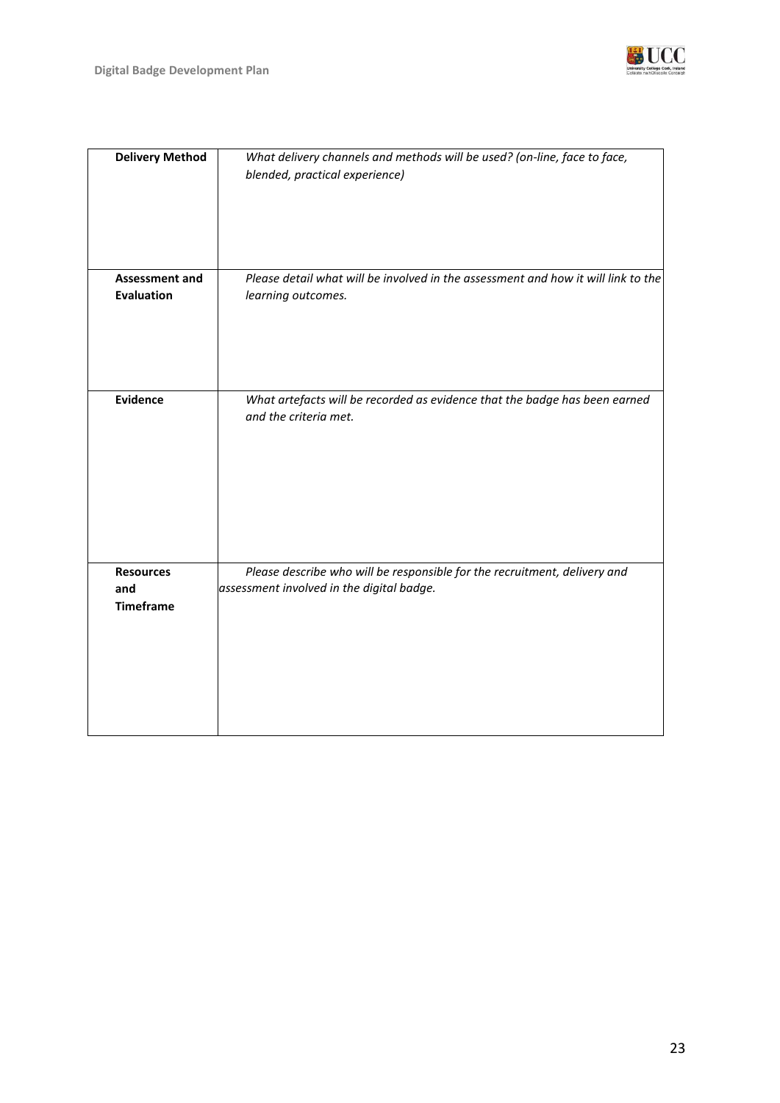

| <b>Delivery Method</b> | What delivery channels and methods will be used? (on-line, face to face,<br>blended, practical experience) |
|------------------------|------------------------------------------------------------------------------------------------------------|
|                        |                                                                                                            |
| <b>Assessment and</b>  | Please detail what will be involved in the assessment and how it will link to the                          |
| <b>Evaluation</b>      | learning outcomes.                                                                                         |
|                        |                                                                                                            |
| <b>Evidence</b>        | What artefacts will be recorded as evidence that the badge has been earned                                 |
|                        | and the criteria met.                                                                                      |
|                        |                                                                                                            |
| <b>Resources</b>       | Please describe who will be responsible for the recruitment, delivery and                                  |
| and                    | assessment involved in the digital badge.                                                                  |
| <b>Timeframe</b>       |                                                                                                            |
|                        |                                                                                                            |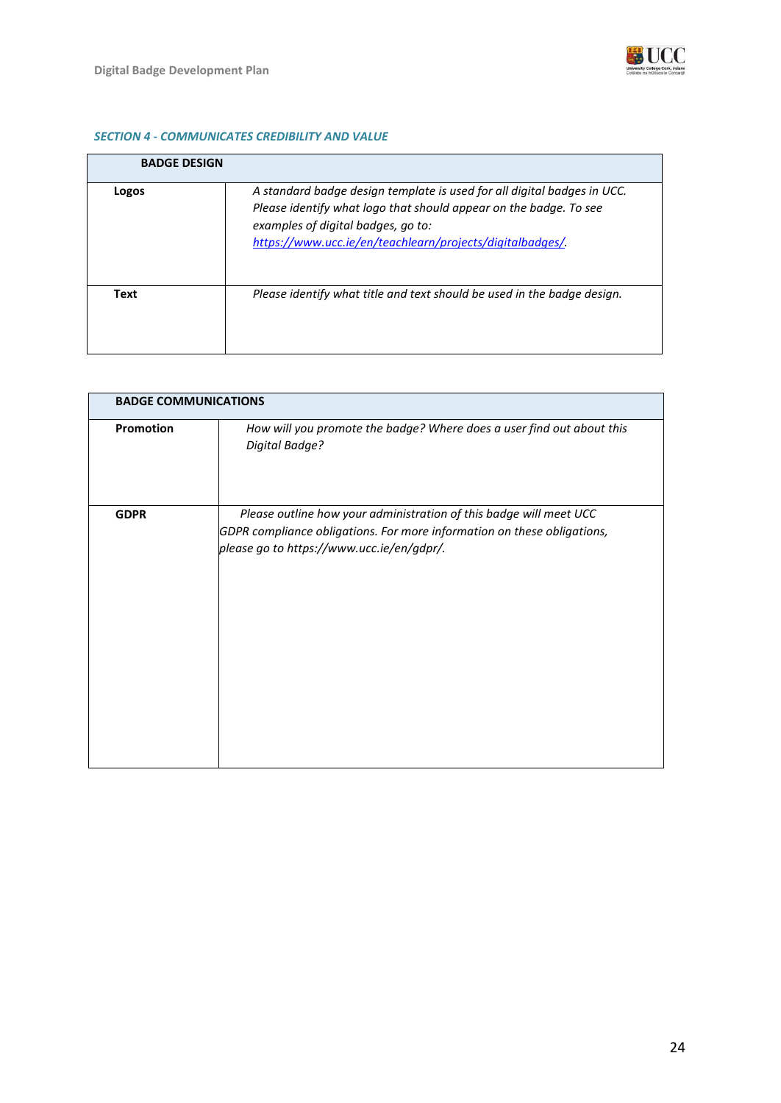

### *SECTION 4 - COMMUNICATES CREDIBILITY AND VALUE*

| <b>BADGE DESIGN</b> |                                                                                                                                                                                                                                                 |
|---------------------|-------------------------------------------------------------------------------------------------------------------------------------------------------------------------------------------------------------------------------------------------|
| Logos               | A standard badge design template is used for all digital badges in UCC.<br>Please identify what logo that should appear on the badge. To see<br>examples of digital badges, go to:<br>https://www.ucc.ie/en/teachlearn/projects/digitalbadges/. |
| <b>Text</b>         | Please identify what title and text should be used in the badge design.                                                                                                                                                                         |

|             | <b>BADGE COMMUNICATIONS</b>                                                                                                                                                                |  |  |  |  |
|-------------|--------------------------------------------------------------------------------------------------------------------------------------------------------------------------------------------|--|--|--|--|
| Promotion   | How will you promote the badge? Where does a user find out about this<br>Digital Badge?                                                                                                    |  |  |  |  |
| <b>GDPR</b> | Please outline how your administration of this badge will meet UCC<br>GDPR compliance obligations. For more information on these obligations,<br>please go to https://www.ucc.ie/en/gdpr/. |  |  |  |  |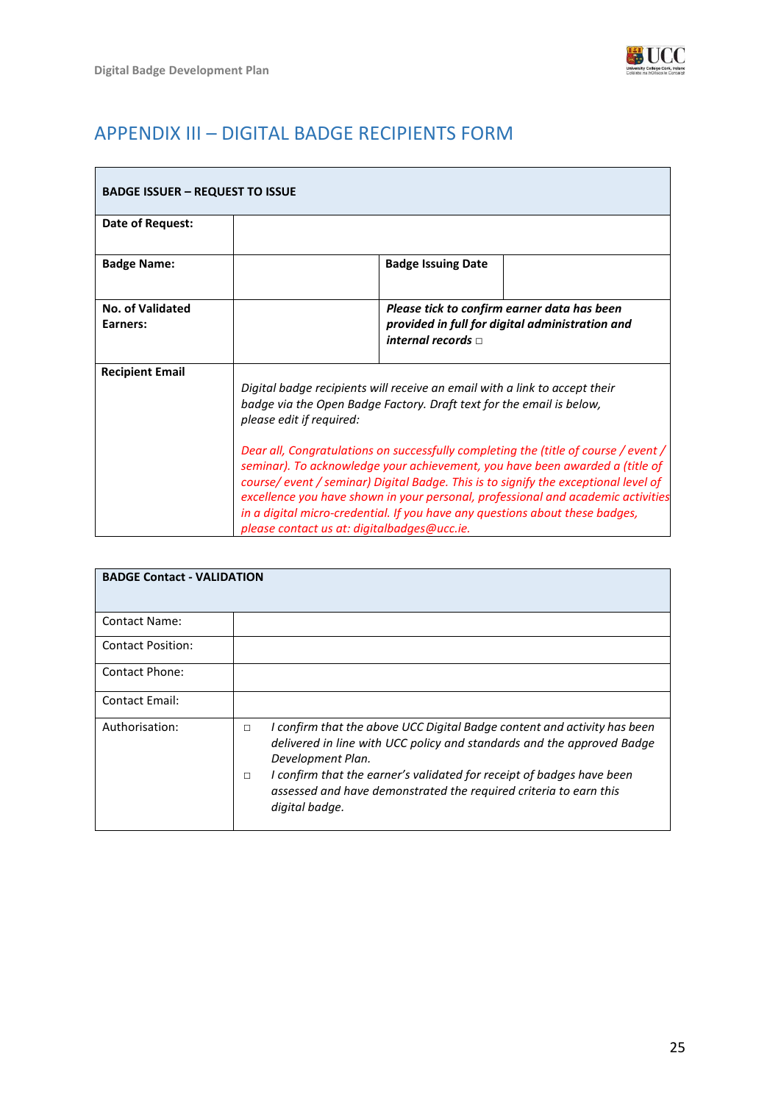

# <span id="page-24-0"></span>APPENDIX III – DIGITAL BADGE RECIPIENTS FORM

| <b>BADGE ISSUER - REQUEST TO ISSUE</b> |                                                                                                                                                                                                                                                                                                                                                                                                                                                                                                                                                                                                                                                                 |
|----------------------------------------|-----------------------------------------------------------------------------------------------------------------------------------------------------------------------------------------------------------------------------------------------------------------------------------------------------------------------------------------------------------------------------------------------------------------------------------------------------------------------------------------------------------------------------------------------------------------------------------------------------------------------------------------------------------------|
| Date of Request:                       |                                                                                                                                                                                                                                                                                                                                                                                                                                                                                                                                                                                                                                                                 |
| <b>Badge Name:</b>                     | <b>Badge Issuing Date</b>                                                                                                                                                                                                                                                                                                                                                                                                                                                                                                                                                                                                                                       |
| <b>No. of Validated</b><br>Earners:    | Please tick to confirm earner data has been<br>provided in full for digital administration and<br>internal records $\sqcap$                                                                                                                                                                                                                                                                                                                                                                                                                                                                                                                                     |
| <b>Recipient Email</b>                 | Digital badge recipients will receive an email with a link to accept their<br>badge via the Open Badge Factory. Draft text for the email is below,<br>please edit if required:<br>Dear all, Congratulations on successfully completing the (title of course / event /<br>seminar). To acknowledge your achievement, you have been awarded a (title of<br>course/ event / seminar) Digital Badge. This is to signify the exceptional level of<br>excellence you have shown in your personal, professional and academic activities<br>in a digital micro-credential. If you have any questions about these badges,<br>please contact us at: digitalbadges@ucc.ie. |

| <b>BADGE Contact - VALIDATION</b> |                                                                                                                                                                                                                                                                                                                                                             |
|-----------------------------------|-------------------------------------------------------------------------------------------------------------------------------------------------------------------------------------------------------------------------------------------------------------------------------------------------------------------------------------------------------------|
| <b>Contact Name:</b>              |                                                                                                                                                                                                                                                                                                                                                             |
| <b>Contact Position:</b>          |                                                                                                                                                                                                                                                                                                                                                             |
| Contact Phone:                    |                                                                                                                                                                                                                                                                                                                                                             |
| Contact Email:                    |                                                                                                                                                                                                                                                                                                                                                             |
| Authorisation:                    | I confirm that the above UCC Digital Badge content and activity has been<br>$\Box$<br>delivered in line with UCC policy and standards and the approved Badge<br>Development Plan.<br>I confirm that the earner's validated for receipt of badges have been<br>$\Box$<br>assessed and have demonstrated the required criteria to earn this<br>digital badge. |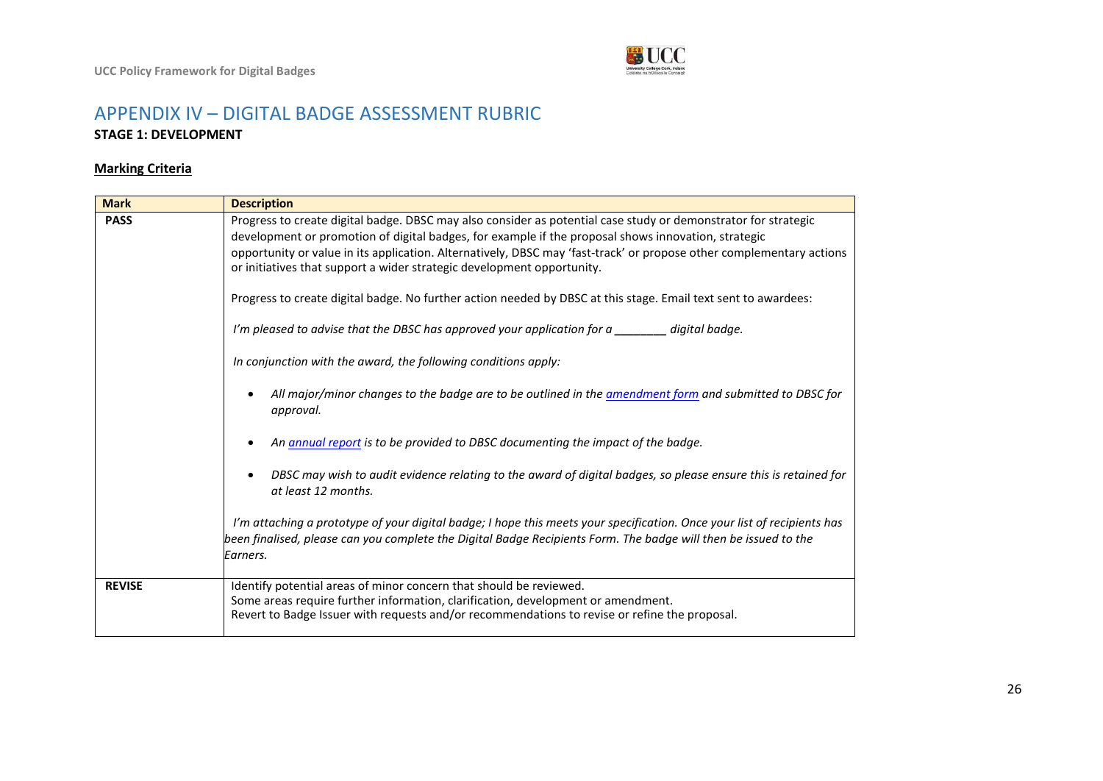

## APPENDIX IV – DIGITAL BADGE ASSESSMENT RUBRIC **STAGE 1: DEVELOPMENT**

### **Marking Criteria**

<span id="page-25-0"></span>

| <b>Mark</b>   | <b>Description</b>                                                                                                                                                                                                                                                                                                                                                                                                                                                                                                                                                                                                                                                                                             |
|---------------|----------------------------------------------------------------------------------------------------------------------------------------------------------------------------------------------------------------------------------------------------------------------------------------------------------------------------------------------------------------------------------------------------------------------------------------------------------------------------------------------------------------------------------------------------------------------------------------------------------------------------------------------------------------------------------------------------------------|
| <b>PASS</b>   | Progress to create digital badge. DBSC may also consider as potential case study or demonstrator for strategic<br>development or promotion of digital badges, for example if the proposal shows innovation, strategic<br>opportunity or value in its application. Alternatively, DBSC may 'fast-track' or propose other complementary actions<br>or initiatives that support a wider strategic development opportunity.<br>Progress to create digital badge. No further action needed by DBSC at this stage. Email text sent to awardees:<br>I'm pleased to advise that the DBSC has approved your application for a ________ digital badge.<br>In conjunction with the award, the following conditions apply: |
|               | All major/minor changes to the badge are to be outlined in the <u>amendment form</u> and submitted to DBSC for<br>approval.                                                                                                                                                                                                                                                                                                                                                                                                                                                                                                                                                                                    |
|               | An annual report is to be provided to DBSC documenting the impact of the badge.                                                                                                                                                                                                                                                                                                                                                                                                                                                                                                                                                                                                                                |
|               | DBSC may wish to audit evidence relating to the award of digital badges, so please ensure this is retained for<br>at least 12 months.                                                                                                                                                                                                                                                                                                                                                                                                                                                                                                                                                                          |
|               | I'm attaching a prototype of your digital badge; I hope this meets your specification. Once your list of recipients has<br>been finalised, please can you complete the Digital Badge Recipients Form. The badge will then be issued to the<br>Earners.                                                                                                                                                                                                                                                                                                                                                                                                                                                         |
| <b>REVISE</b> | Identify potential areas of minor concern that should be reviewed.<br>Some areas require further information, clarification, development or amendment.<br>Revert to Badge Issuer with requests and/or recommendations to revise or refine the proposal.                                                                                                                                                                                                                                                                                                                                                                                                                                                        |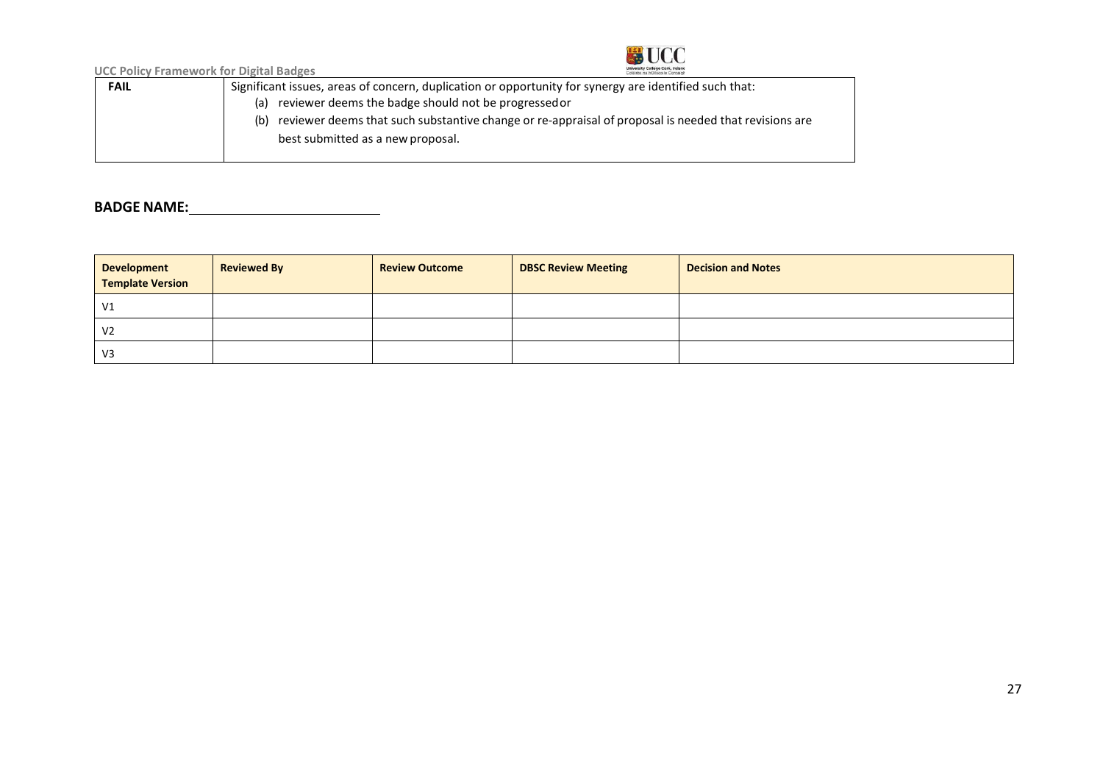

**UCC Policy Framework for Digital Badges**

| <b>FAIL</b> | Significant issues, areas of concern, duplication or opportunity for synergy are identified such that:      |
|-------------|-------------------------------------------------------------------------------------------------------------|
|             | reviewer deems the badge should not be progressed or<br>(a)                                                 |
|             | reviewer deems that such substantive change or re-appraisal of proposal is needed that revisions are<br>(b) |
|             | best submitted as a new proposal.                                                                           |
|             |                                                                                                             |

# **BADGE NAME:**

| <b>Development</b><br><b>Template Version</b> | <b>Reviewed By</b> | <b>Review Outcome</b> | <b>DBSC Review Meeting</b> | <b>Decision and Notes</b> |
|-----------------------------------------------|--------------------|-----------------------|----------------------------|---------------------------|
| V <sub>1</sub>                                |                    |                       |                            |                           |
| V <sub>2</sub>                                |                    |                       |                            |                           |
| V <sub>3</sub>                                |                    |                       |                            |                           |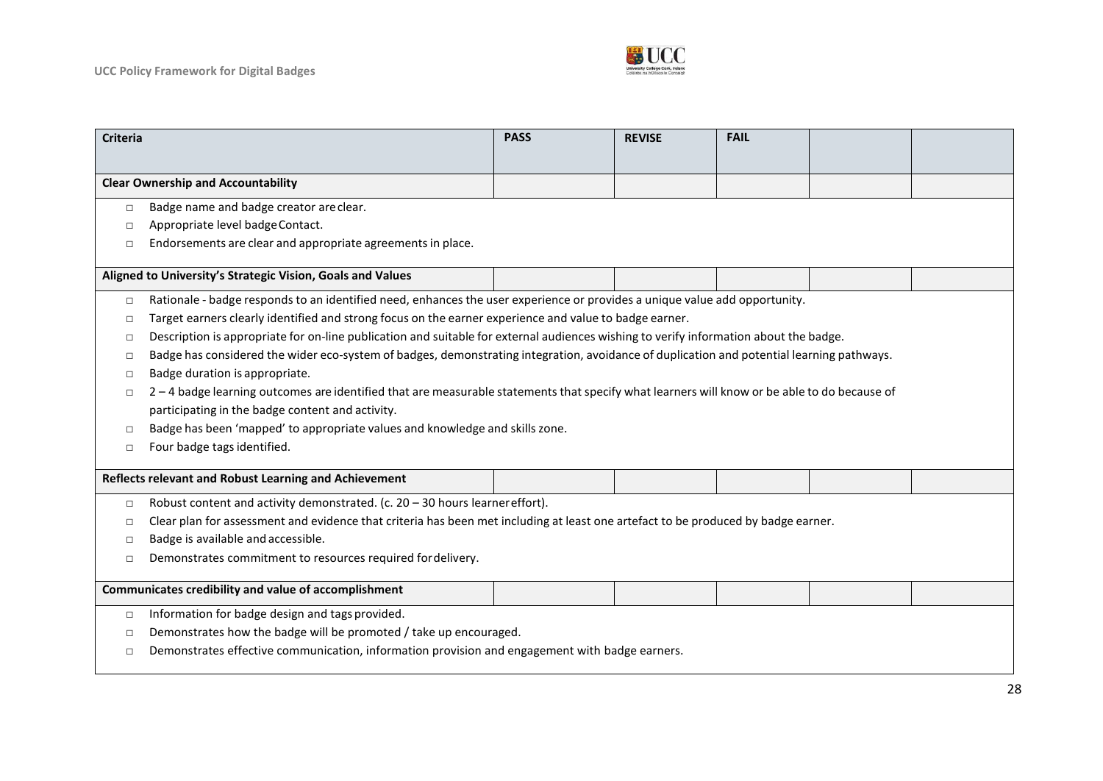

| <b>Criteria</b>                                                                                                                                      | <b>PASS</b>                                                                                                                               | <b>REVISE</b> | <b>FAIL</b> |  |  |
|------------------------------------------------------------------------------------------------------------------------------------------------------|-------------------------------------------------------------------------------------------------------------------------------------------|---------------|-------------|--|--|
|                                                                                                                                                      |                                                                                                                                           |               |             |  |  |
| <b>Clear Ownership and Accountability</b>                                                                                                            |                                                                                                                                           |               |             |  |  |
| Badge name and badge creator are clear.<br>$\Box$                                                                                                    |                                                                                                                                           |               |             |  |  |
| Appropriate level badge Contact.<br>□                                                                                                                |                                                                                                                                           |               |             |  |  |
| Endorsements are clear and appropriate agreements in place.<br>$\Box$                                                                                |                                                                                                                                           |               |             |  |  |
| Aligned to University's Strategic Vision, Goals and Values                                                                                           |                                                                                                                                           |               |             |  |  |
| Rationale - badge responds to an identified need, enhances the user experience or provides a unique value add opportunity.<br>$\Box$                 |                                                                                                                                           |               |             |  |  |
| Target earners clearly identified and strong focus on the earner experience and value to badge earner.<br>$\Box$                                     |                                                                                                                                           |               |             |  |  |
| □                                                                                                                                                    | Description is appropriate for on-line publication and suitable for external audiences wishing to verify information about the badge.     |               |             |  |  |
| □                                                                                                                                                    | Badge has considered the wider eco-system of badges, demonstrating integration, avoidance of duplication and potential learning pathways. |               |             |  |  |
| Badge duration is appropriate.<br>$\Box$                                                                                                             |                                                                                                                                           |               |             |  |  |
| 2-4 badge learning outcomes are identified that are measurable statements that specify what learners will know or be able to do because of<br>$\Box$ |                                                                                                                                           |               |             |  |  |
| participating in the badge content and activity.                                                                                                     |                                                                                                                                           |               |             |  |  |
| Badge has been 'mapped' to appropriate values and knowledge and skills zone.<br>$\Box$                                                               |                                                                                                                                           |               |             |  |  |
| Four badge tags identified.<br>$\Box$                                                                                                                |                                                                                                                                           |               |             |  |  |
| Reflects relevant and Robust Learning and Achievement                                                                                                |                                                                                                                                           |               |             |  |  |
| Robust content and activity demonstrated. (c. 20 - 30 hours learner effort).<br>$\Box$                                                               |                                                                                                                                           |               |             |  |  |
| $\Box$                                                                                                                                               | Clear plan for assessment and evidence that criteria has been met including at least one artefact to be produced by badge earner.         |               |             |  |  |
| Badge is available and accessible.<br>$\Box$                                                                                                         |                                                                                                                                           |               |             |  |  |
| Demonstrates commitment to resources required for delivery.<br>$\Box$                                                                                |                                                                                                                                           |               |             |  |  |
| Communicates credibility and value of accomplishment                                                                                                 |                                                                                                                                           |               |             |  |  |
| Information for badge design and tags provided.<br>$\Box$                                                                                            |                                                                                                                                           |               |             |  |  |
| □                                                                                                                                                    | Demonstrates how the badge will be promoted / take up encouraged.                                                                         |               |             |  |  |
| Demonstrates effective communication, information provision and engagement with badge earners.<br>$\Box$                                             |                                                                                                                                           |               |             |  |  |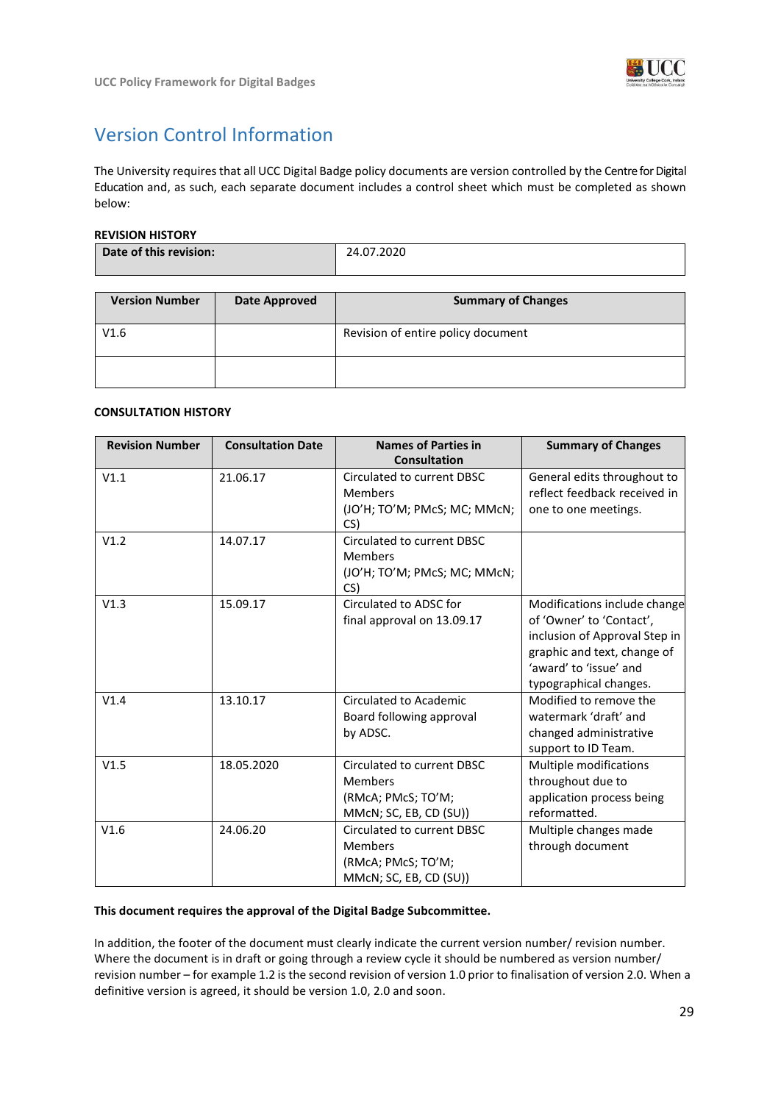

# <span id="page-28-0"></span>Version Control Information

The University requires that all UCC Digital Badge policy documents are version controlled by the Centre for Digital Education and, as such, each separate document includes a control sheet which must be completed as shown below:

#### **REVISION HISTORY**

| Date of this revision: | 24.07.2020 |
|------------------------|------------|
|                        |            |
|                        |            |

| <b>Version Number</b> | Date Approved | <b>Summary of Changes</b>          |  |
|-----------------------|---------------|------------------------------------|--|
| V1.6                  |               | Revision of entire policy document |  |
|                       |               |                                    |  |

#### **CONSULTATION HISTORY**

| <b>Revision Number</b> | <b>Consultation Date</b> | <b>Names of Parties in</b><br><b>Consultation</b>                                            | <b>Summary of Changes</b>                                                                                                                                                    |
|------------------------|--------------------------|----------------------------------------------------------------------------------------------|------------------------------------------------------------------------------------------------------------------------------------------------------------------------------|
| V1.1                   | 21.06.17                 | Circulated to current DBSC<br><b>Members</b><br>(JO'H; TO'M; PMcS; MC; MMcN;<br>CS)          | General edits throughout to<br>reflect feedback received in<br>one to one meetings.                                                                                          |
| V1.2                   | 14.07.17                 | Circulated to current DBSC<br><b>Members</b><br>(JO'H; TO'M; PMcS; MC; MMcN;<br>CS)          |                                                                                                                                                                              |
| V1.3                   | 15.09.17                 | Circulated to ADSC for<br>final approval on 13.09.17                                         | Modifications include change<br>of 'Owner' to 'Contact',<br>inclusion of Approval Step in<br>graphic and text, change of<br>'award' to 'issue' and<br>typographical changes. |
| V1.4                   | 13.10.17                 | <b>Circulated to Academic</b><br>Board following approval<br>by ADSC.                        | Modified to remove the<br>watermark 'draft' and<br>changed administrative<br>support to ID Team.                                                                             |
| V1.5                   | 18.05.2020               | Circulated to current DBSC<br><b>Members</b><br>(RMcA; PMcS; TO'M;<br>MMcN; SC, EB, CD (SU)) | Multiple modifications<br>throughout due to<br>application process being<br>reformatted.                                                                                     |
| V1.6                   | 24.06.20                 | Circulated to current DBSC<br><b>Members</b><br>(RMcA; PMcS; TO'M;<br>MMcN; SC, EB, CD (SU)) | Multiple changes made<br>through document                                                                                                                                    |

#### **This document requires the approval of the Digital Badge Subcommittee.**

In addition, the footer of the document must clearly indicate the current version number/ revision number. Where the document is in draft or going through a review cycle it should be numbered as version number/ revision number – for example 1.2 is the second revision of version 1.0 prior to finalisation of version 2.0. When a definitive version is agreed, it should be version 1.0, 2.0 and soon.